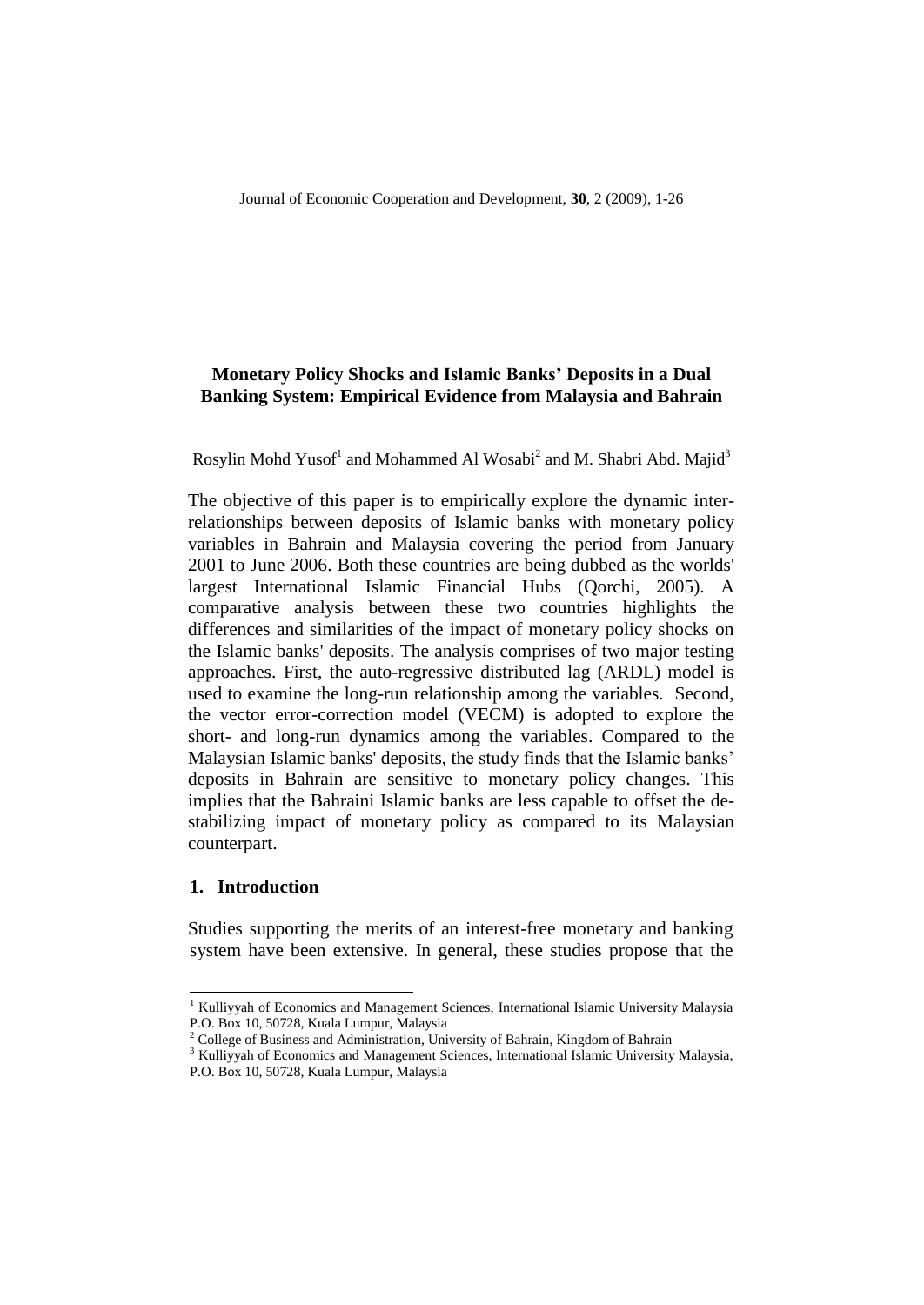Rosylin Mohd Yusof<sup>1</sup> and Mohammed Al Wosabi<sup>2</sup> and M. Shabri Abd. Majid<sup>3</sup>

The objective of this paper is to empirically explore the dynamic interrelationships between deposits of Islamic banks with monetary policy variables in Bahrain and Malaysia covering the period from January 2001 to June 2006. Both these countries are being dubbed as the worlds' largest International Islamic Financial Hubs (Qorchi, 2005). A comparative analysis between these two countries highlights the differences and similarities of the impact of monetary policy shocks on the Islamic banks' deposits. The analysis comprises of two major testing approaches. First, the auto-regressive distributed lag (ARDL) model is used to examine the long-run relationship among the variables. Second, the vector error-correction model (VECM) is adopted to explore the short- and long-run dynamics among the variables. Compared to the Malaysian Islamic banks' deposits, the study finds that the Islamic banks' deposits in Bahrain are sensitive to monetary policy changes. This implies that the Bahraini Islamic banks are less capable to offset the destabilizing impact of monetary policy as compared to its Malaysian counterpart.

#### **1. Introduction**

l

Studies supporting the merits of an interest-free monetary and banking system have been extensive. In general, these studies propose that the

<sup>&</sup>lt;sup>1</sup> Kulliyyah of Economics and Management Sciences, International Islamic University Malaysia P.O. Box 10, 50728, Kuala Lumpur, Malaysia

 $2^2$  College of Business and Administration, University of Bahrain, Kingdom of Bahrain

<sup>&</sup>lt;sup>3</sup> Kulliyyah of Economics and Management Sciences, International Islamic University Malaysia, P.O. Box 10, 50728, Kuala Lumpur, Malaysia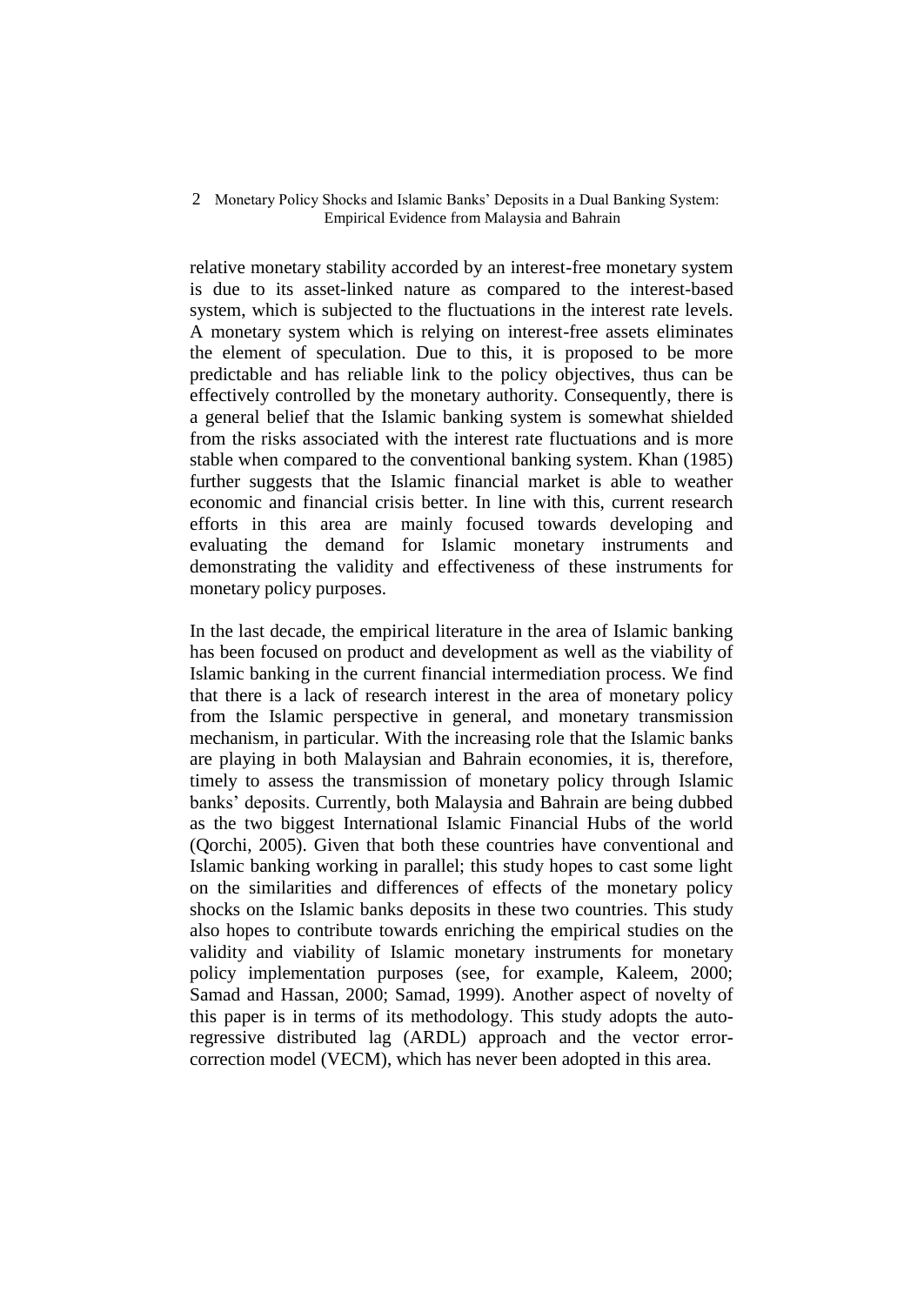relative monetary stability accorded by an interest-free monetary system is due to its asset-linked nature as compared to the interest-based system, which is subjected to the fluctuations in the interest rate levels. A monetary system which is relying on interest-free assets eliminates the element of speculation. Due to this, it is proposed to be more predictable and has reliable link to the policy objectives, thus can be effectively controlled by the monetary authority. Consequently, there is a general belief that the Islamic banking system is somewhat shielded from the risks associated with the interest rate fluctuations and is more stable when compared to the conventional banking system. Khan (1985) further suggests that the Islamic financial market is able to weather economic and financial crisis better. In line with this, current research efforts in this area are mainly focused towards developing and evaluating the demand for Islamic monetary instruments and demonstrating the validity and effectiveness of these instruments for monetary policy purposes.

In the last decade, the empirical literature in the area of Islamic banking has been focused on product and development as well as the viability of Islamic banking in the current financial intermediation process. We find that there is a lack of research interest in the area of monetary policy from the Islamic perspective in general, and monetary transmission mechanism, in particular. With the increasing role that the Islamic banks are playing in both Malaysian and Bahrain economies, it is, therefore, timely to assess the transmission of monetary policy through Islamic banks' deposits. Currently, both Malaysia and Bahrain are being dubbed as the two biggest International Islamic Financial Hubs of the world (Qorchi, 2005). Given that both these countries have conventional and Islamic banking working in parallel; this study hopes to cast some light on the similarities and differences of effects of the monetary policy shocks on the Islamic banks deposits in these two countries. This study also hopes to contribute towards enriching the empirical studies on the validity and viability of Islamic monetary instruments for monetary policy implementation purposes (see, for example, Kaleem, 2000; Samad and Hassan, 2000; Samad, 1999). Another aspect of novelty of this paper is in terms of its methodology. This study adopts the autoregressive distributed lag (ARDL) approach and the vector errorcorrection model (VECM), which has never been adopted in this area.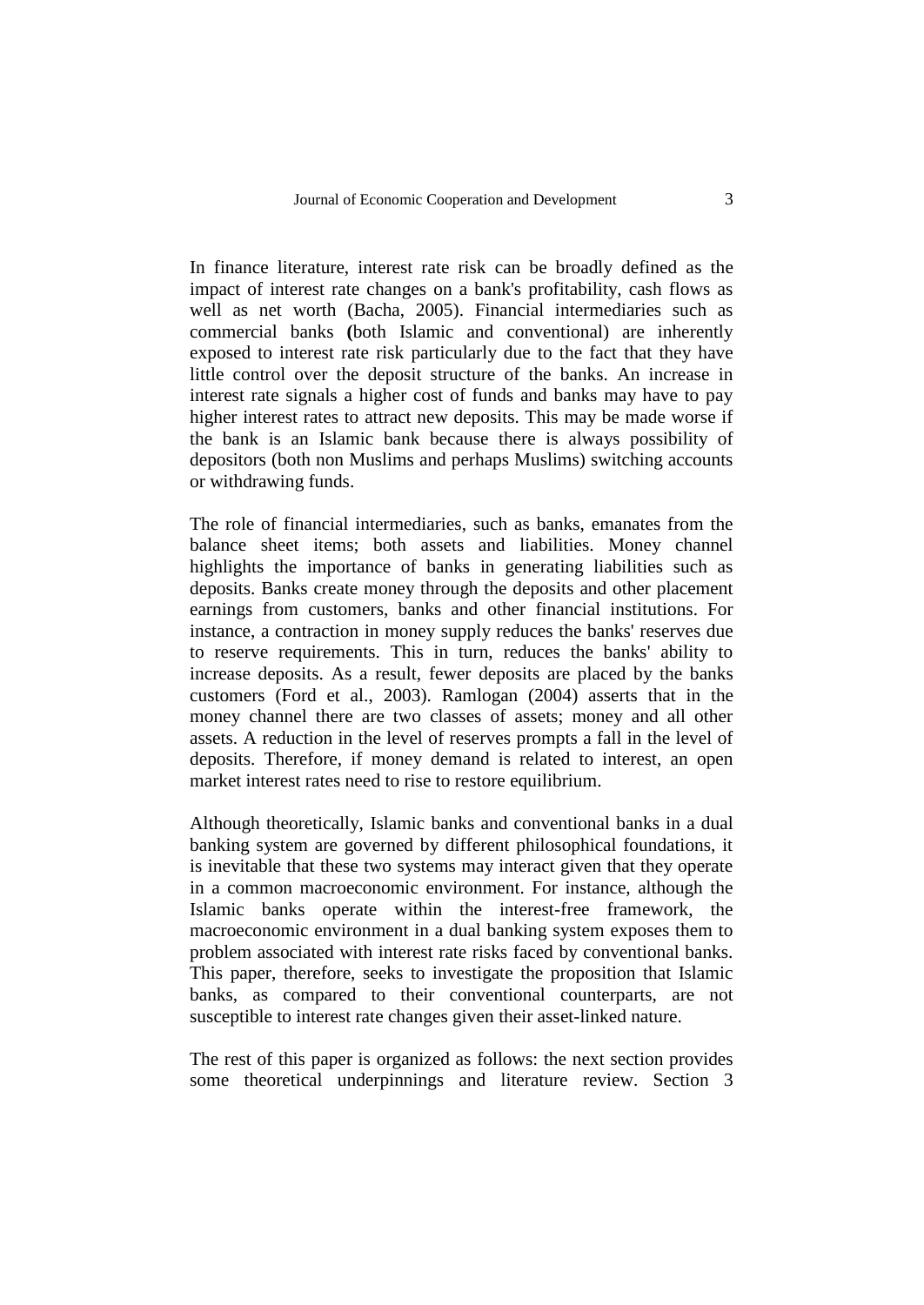In finance literature, interest rate risk can be broadly defined as the impact of interest rate changes on a bank's profitability, cash flows as well as net worth (Bacha, 2005). Financial intermediaries such as commercial banks **(**both Islamic and conventional) are inherently exposed to interest rate risk particularly due to the fact that they have little control over the deposit structure of the banks. An increase in interest rate signals a higher cost of funds and banks may have to pay higher interest rates to attract new deposits. This may be made worse if the bank is an Islamic bank because there is always possibility of depositors (both non Muslims and perhaps Muslims) switching accounts or withdrawing funds.

The role of financial intermediaries, such as banks, emanates from the balance sheet items; both assets and liabilities. Money channel highlights the importance of banks in generating liabilities such as deposits. Banks create money through the deposits and other placement earnings from customers, banks and other financial institutions. For instance, a contraction in money supply reduces the banks' reserves due to reserve requirements. This in turn, reduces the banks' ability to increase deposits. As a result, fewer deposits are placed by the banks customers (Ford et al., 2003). Ramlogan (2004) asserts that in the money channel there are two classes of assets; money and all other assets. A reduction in the level of reserves prompts a fall in the level of deposits. Therefore, if money demand is related to interest, an open market interest rates need to rise to restore equilibrium.

Although theoretically, Islamic banks and conventional banks in a dual banking system are governed by different philosophical foundations, it is inevitable that these two systems may interact given that they operate in a common macroeconomic environment. For instance, although the Islamic banks operate within the interest-free framework, the macroeconomic environment in a dual banking system exposes them to problem associated with interest rate risks faced by conventional banks. This paper, therefore, seeks to investigate the proposition that Islamic banks, as compared to their conventional counterparts, are not susceptible to interest rate changes given their asset-linked nature.

The rest of this paper is organized as follows: the next section provides some theoretical underpinnings and literature review. Section 3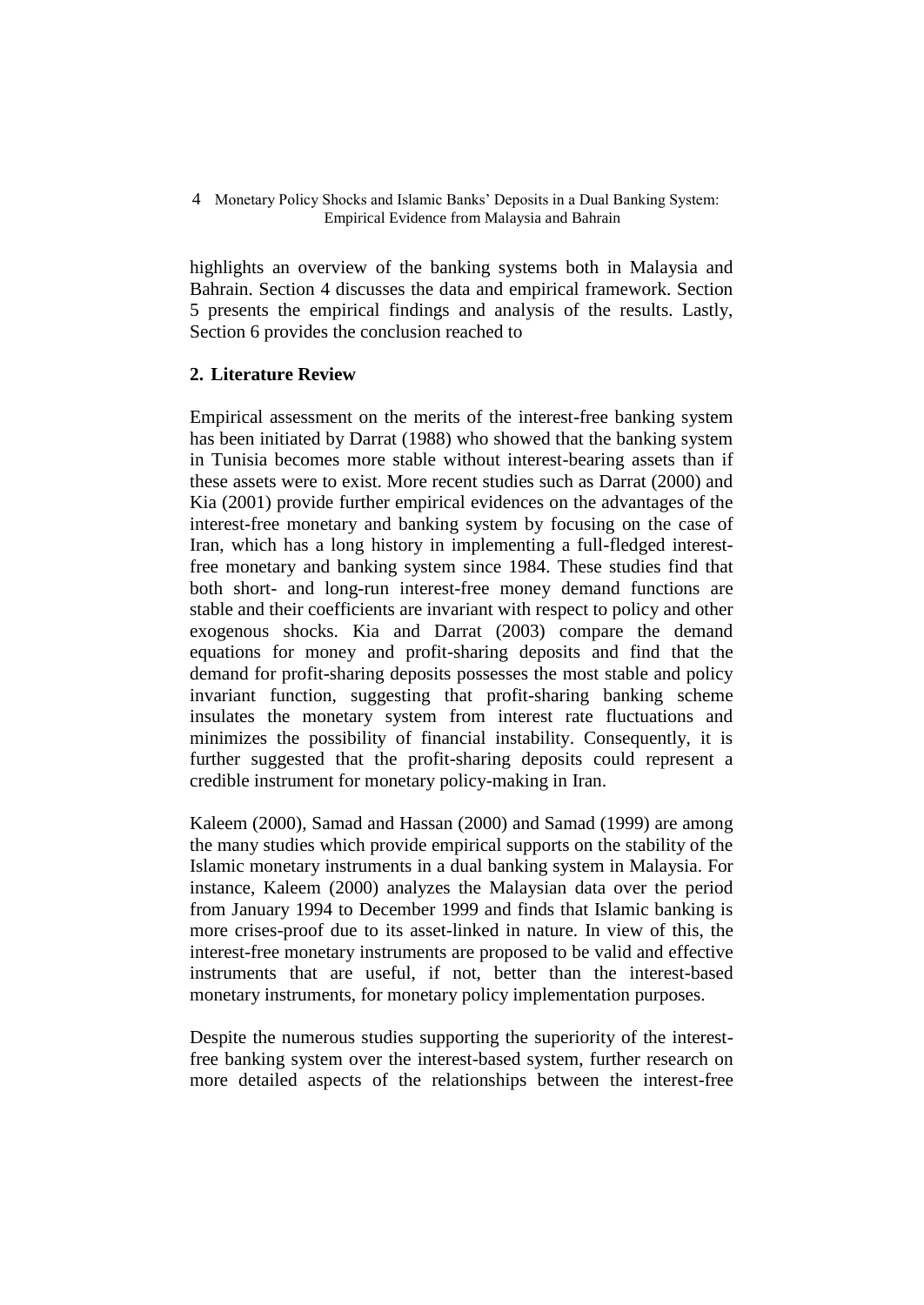highlights an overview of the banking systems both in Malaysia and Bahrain. Section 4 discusses the data and empirical framework. Section 5 presents the empirical findings and analysis of the results. Lastly, Section 6 provides the conclusion reached to

## **2. Literature Review**

Empirical assessment on the merits of the interest-free banking system has been initiated by Darrat (1988) who showed that the banking system in Tunisia becomes more stable without interest-bearing assets than if these assets were to exist. More recent studies such as Darrat (2000) and Kia (2001) provide further empirical evidences on the advantages of the interest-free monetary and banking system by focusing on the case of Iran, which has a long history in implementing a full-fledged interestfree monetary and banking system since 1984. These studies find that both short- and long-run interest-free money demand functions are stable and their coefficients are invariant with respect to policy and other exogenous shocks. Kia and Darrat (2003) compare the demand equations for money and profit-sharing deposits and find that the demand for profit-sharing deposits possesses the most stable and policy invariant function, suggesting that profit-sharing banking scheme insulates the monetary system from interest rate fluctuations and minimizes the possibility of financial instability. Consequently, it is further suggested that the profit-sharing deposits could represent a credible instrument for monetary policy-making in Iran.

Kaleem (2000), Samad and Hassan (2000) and Samad (1999) are among the many studies which provide empirical supports on the stability of the Islamic monetary instruments in a dual banking system in Malaysia. For instance, Kaleem (2000) analyzes the Malaysian data over the period from January 1994 to December 1999 and finds that Islamic banking is more crises-proof due to its asset-linked in nature. In view of this, the interest-free monetary instruments are proposed to be valid and effective instruments that are useful, if not, better than the interest-based monetary instruments, for monetary policy implementation purposes.

Despite the numerous studies supporting the superiority of the interestfree banking system over the interest-based system, further research on more detailed aspects of the relationships between the interest-free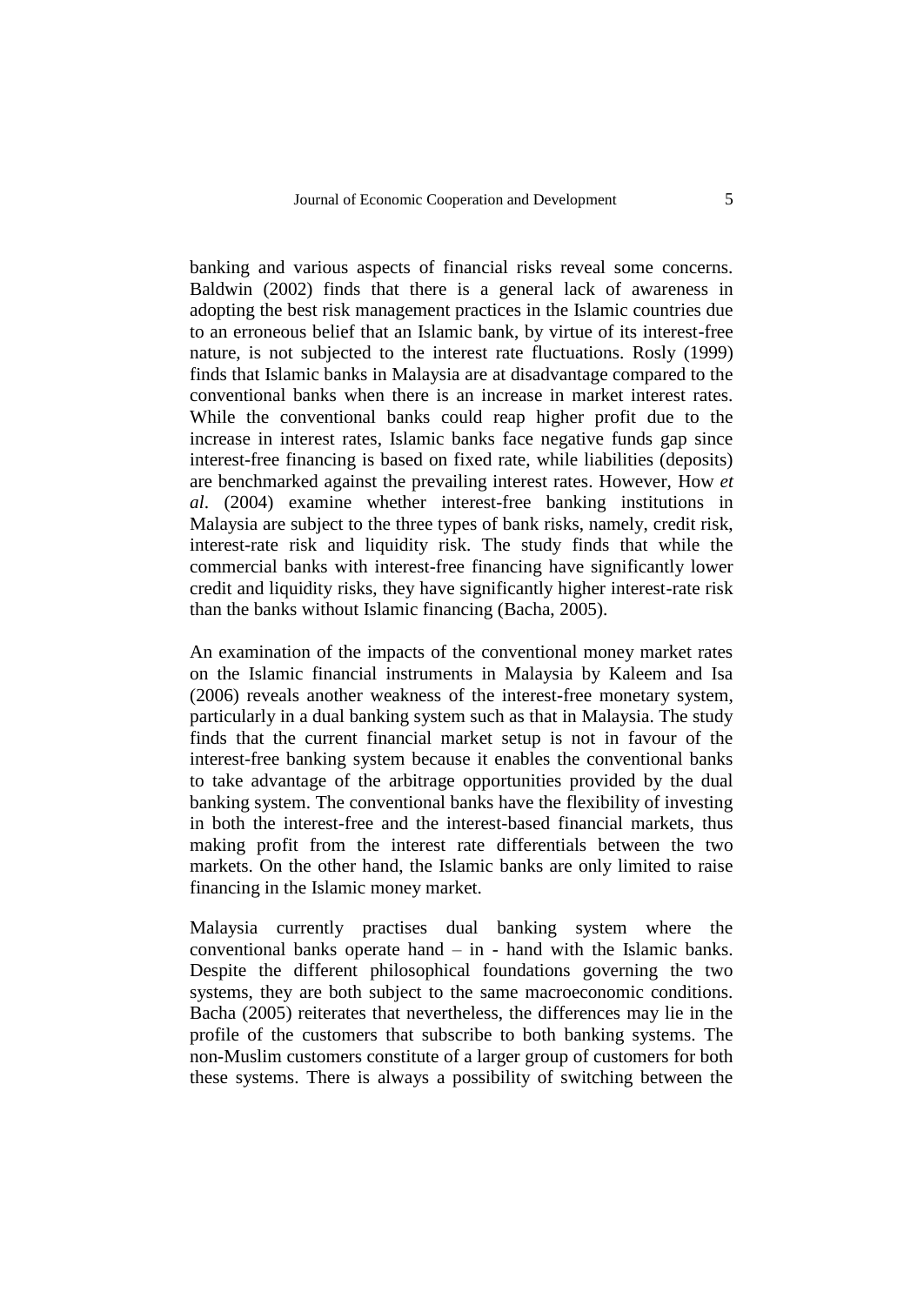banking and various aspects of financial risks reveal some concerns. Baldwin (2002) finds that there is a general lack of awareness in adopting the best risk management practices in the Islamic countries due to an erroneous belief that an Islamic bank, by virtue of its interest-free nature, is not subjected to the interest rate fluctuations. Rosly (1999) finds that Islamic banks in Malaysia are at disadvantage compared to the conventional banks when there is an increase in market interest rates. While the conventional banks could reap higher profit due to the increase in interest rates, Islamic banks face negative funds gap since interest-free financing is based on fixed rate, while liabilities (deposits) are benchmarked against the prevailing interest rates. However, How *et al*. (2004) examine whether interest-free banking institutions in Malaysia are subject to the three types of bank risks, namely, credit risk, interest-rate risk and liquidity risk. The study finds that while the commercial banks with interest-free financing have significantly lower credit and liquidity risks, they have significantly higher interest-rate risk than the banks without Islamic financing (Bacha, 2005).

An examination of the impacts of the conventional money market rates on the Islamic financial instruments in Malaysia by Kaleem and Isa (2006) reveals another weakness of the interest-free monetary system, particularly in a dual banking system such as that in Malaysia. The study finds that the current financial market setup is not in favour of the interest-free banking system because it enables the conventional banks to take advantage of the arbitrage opportunities provided by the dual banking system. The conventional banks have the flexibility of investing in both the interest-free and the interest-based financial markets, thus making profit from the interest rate differentials between the two markets. On the other hand, the Islamic banks are only limited to raise financing in the Islamic money market.

Malaysia currently practises dual banking system where the conventional banks operate hand – in - hand with the Islamic banks. Despite the different philosophical foundations governing the two systems, they are both subject to the same macroeconomic conditions. Bacha (2005) reiterates that nevertheless, the differences may lie in the profile of the customers that subscribe to both banking systems. The non-Muslim customers constitute of a larger group of customers for both these systems. There is always a possibility of switching between the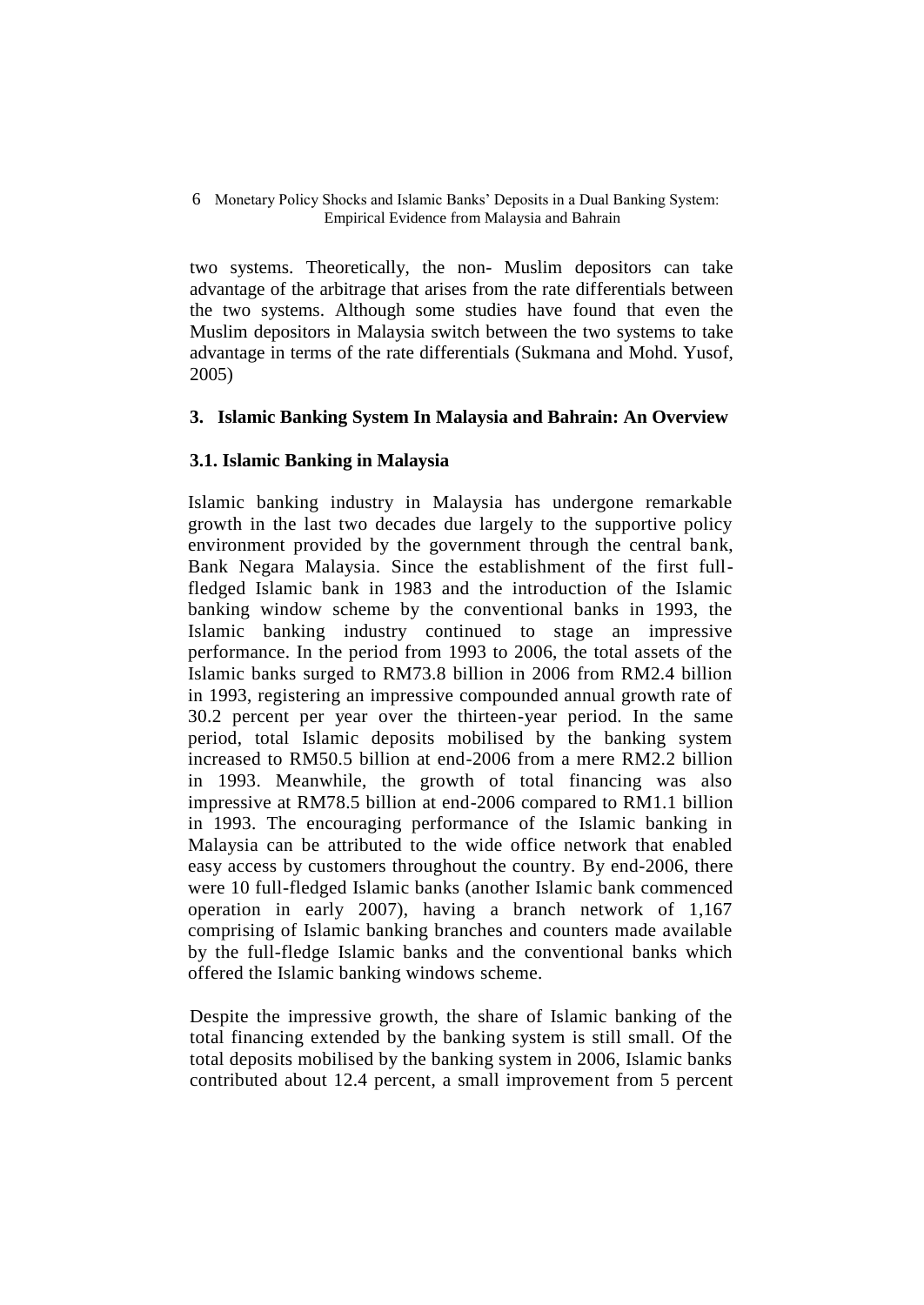two systems. Theoretically, the non- Muslim depositors can take advantage of the arbitrage that arises from the rate differentials between the two systems. Although some studies have found that even the Muslim depositors in Malaysia switch between the two systems to take advantage in terms of the rate differentials (Sukmana and Mohd. Yusof, 2005)

## **3. Islamic Banking System In Malaysia and Bahrain: An Overview**

## **3.1. Islamic Banking in Malaysia**

Islamic banking industry in Malaysia has undergone remarkable growth in the last two decades due largely to the supportive policy environment provided by the government through the central bank, Bank Negara Malaysia. Since the establishment of the first fullfledged Islamic bank in 1983 and the introduction of the Islamic banking window scheme by the conventional banks in 1993, the Islamic banking industry continued to stage an impressive performance. In the period from 1993 to 2006, the total assets of the Islamic banks surged to RM73.8 billion in 2006 from RM2.4 billion in 1993, registering an impressive compounded annual growth rate of 30.2 percent per year over the thirteen-year period. In the same period, total Islamic deposits mobilised by the banking system increased to RM50.5 billion at end-2006 from a mere RM2.2 billion in 1993. Meanwhile, the growth of total financing was also impressive at RM78.5 billion at end-2006 compared to RM1.1 billion in 1993. The encouraging performance of the Islamic banking in Malaysia can be attributed to the wide office network that enabled easy access by customers throughout the country. By end-2006, there were 10 full-fledged Islamic banks (another Islamic bank commenced operation in early 2007), having a branch network of 1,167 comprising of Islamic banking branches and counters made available by the full-fledge Islamic banks and the conventional banks which offered the Islamic banking windows scheme.

Despite the impressive growth, the share of Islamic banking of the total financing extended by the banking system is still small. Of the total deposits mobilised by the banking system in 2006, Islamic banks contributed about 12.4 percent, a small improvement from 5 percent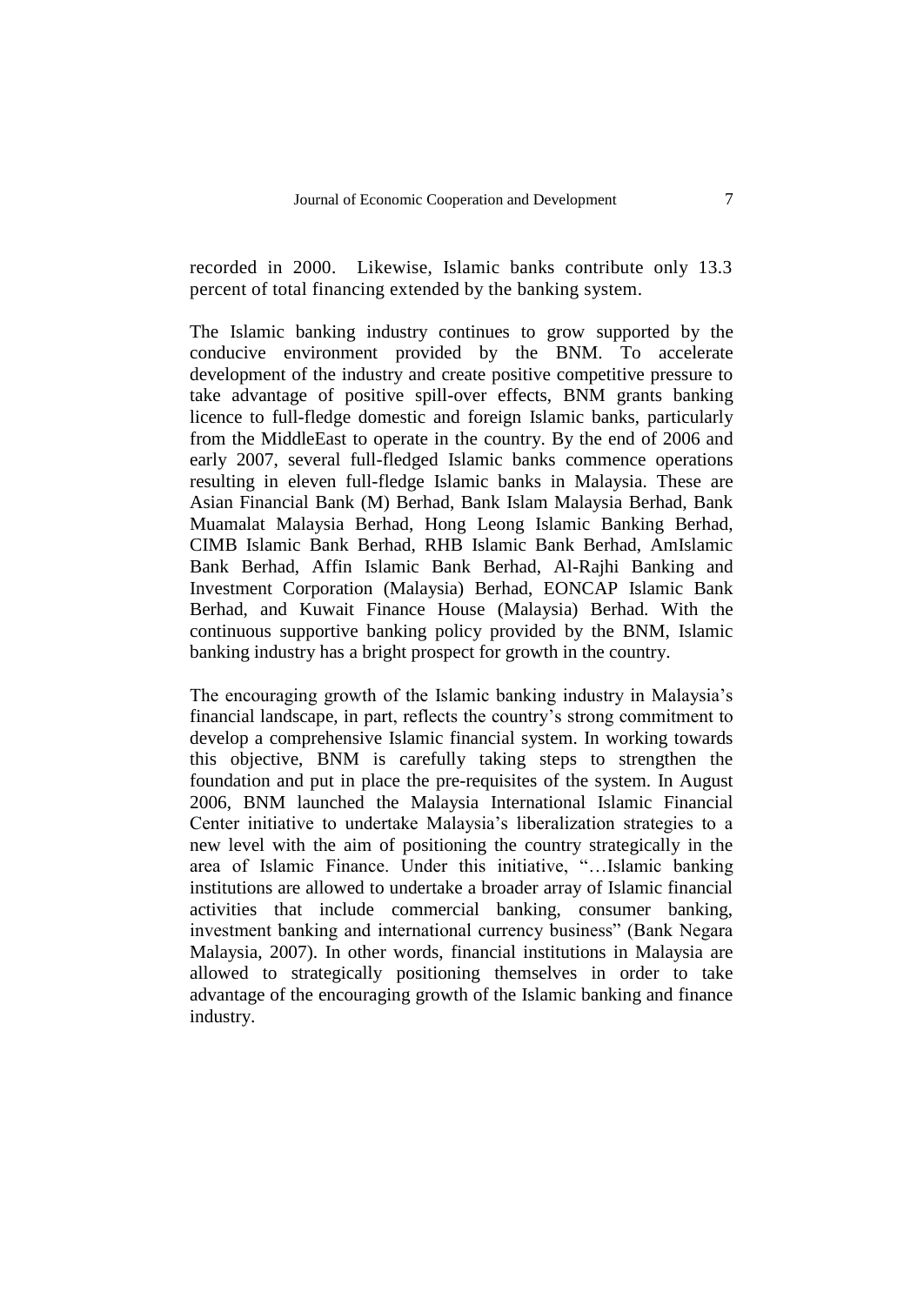recorded in 2000. Likewise, Islamic banks contribute only 13.3 percent of total financing extended by the banking system.

The Islamic banking industry continues to grow supported by the conducive environment provided by the BNM. To accelerate development of the industry and create positive competitive pressure to take advantage of positive spill-over effects, BNM grants banking licence to full-fledge domestic and foreign Islamic banks, particularly from the MiddleEast to operate in the country. By the end of 2006 and early 2007, several full-fledged Islamic banks commence operations resulting in eleven full-fledge Islamic banks in Malaysia. These are Asian Financial Bank (M) Berhad, Bank Islam Malaysia Berhad, Bank Muamalat Malaysia Berhad, Hong Leong Islamic Banking Berhad, CIMB Islamic Bank Berhad, RHB Islamic Bank Berhad, AmIslamic Bank Berhad, Affin Islamic Bank Berhad, Al-Rajhi Banking and Investment Corporation (Malaysia) Berhad, EONCAP Islamic Bank Berhad, and Kuwait Finance House (Malaysia) Berhad. With the continuous supportive banking policy provided by the BNM, Islamic banking industry has a bright prospect for growth in the country.

The encouraging growth of the Islamic banking industry in Malaysia's financial landscape, in part, reflects the country's strong commitment to develop a comprehensive Islamic financial system. In working towards this objective, BNM is carefully taking steps to strengthen the foundation and put in place the pre-requisites of the system. In August 2006, BNM launched the Malaysia International Islamic Financial Center initiative to undertake Malaysia's liberalization strategies to a new level with the aim of positioning the country strategically in the area of Islamic Finance. Under this initiative, "…Islamic banking institutions are allowed to undertake a broader array of Islamic financial activities that include commercial banking, consumer banking, investment banking and international currency business" (Bank Negara Malaysia, 2007). In other words, financial institutions in Malaysia are allowed to strategically positioning themselves in order to take advantage of the encouraging growth of the Islamic banking and finance industry.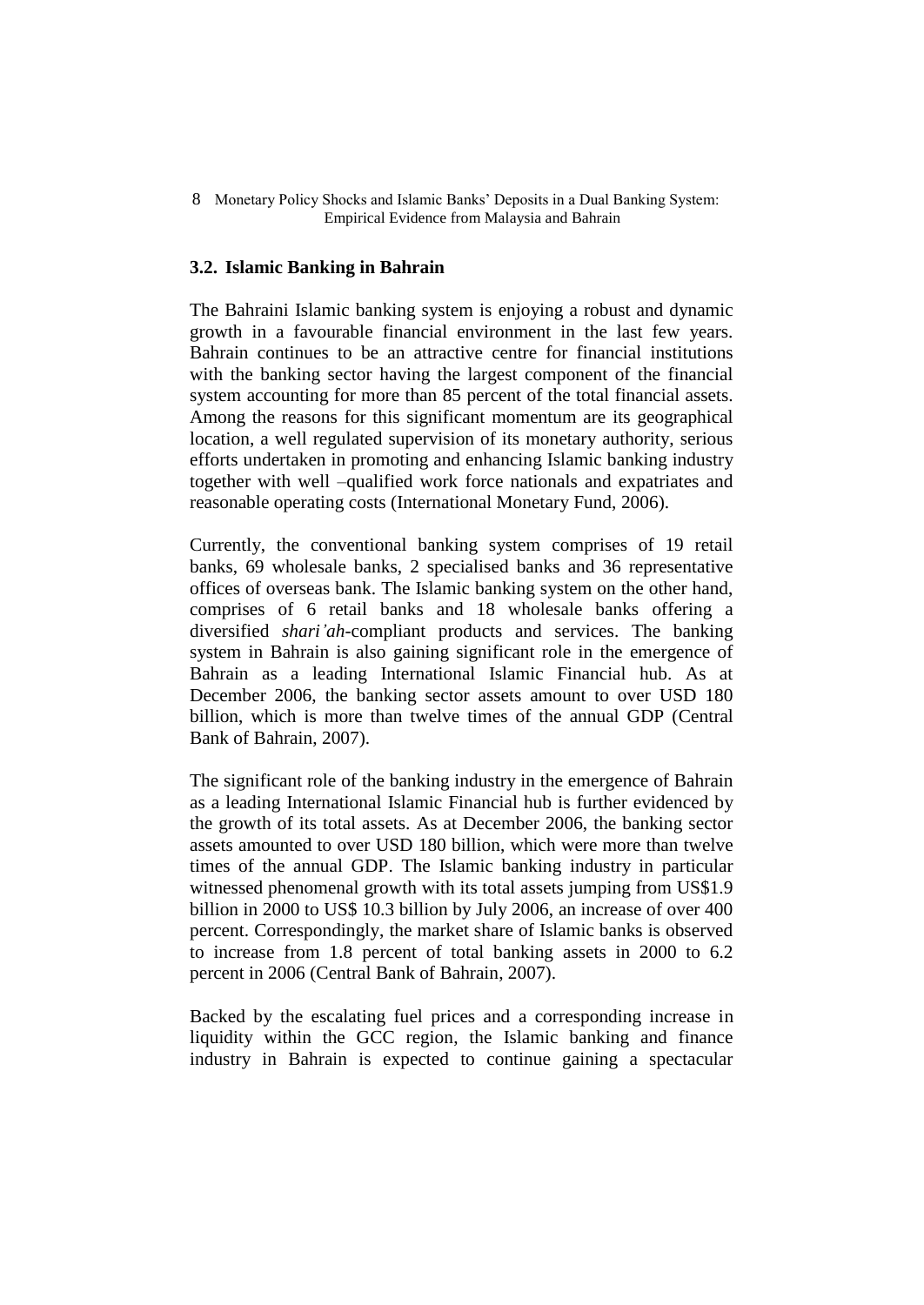### **3.2. Islamic Banking in Bahrain**

The Bahraini Islamic banking system is enjoying a robust and dynamic growth in a favourable financial environment in the last few years. Bahrain continues to be an attractive centre for financial institutions with the banking sector having the largest component of the financial system accounting for more than 85 percent of the total financial assets. Among the reasons for this significant momentum are its geographical location, a well regulated supervision of its monetary authority, serious efforts undertaken in promoting and enhancing Islamic banking industry together with well –qualified work force nationals and expatriates and reasonable operating costs (International Monetary Fund, 2006).

Currently, the conventional banking system comprises of 19 retail banks, 69 wholesale banks, 2 specialised banks and 36 representative offices of overseas bank. The Islamic banking system on the other hand, comprises of 6 retail banks and 18 wholesale banks offering a diversified *shari'ah-*compliant products and services. The banking system in Bahrain is also gaining significant role in the emergence of Bahrain as a leading International Islamic Financial hub. As at December 2006, the banking sector assets amount to over USD 180 billion, which is more than twelve times of the annual GDP (Central Bank of Bahrain, 2007).

The significant role of the banking industry in the emergence of Bahrain as a leading International Islamic Financial hub is further evidenced by the growth of its total assets. As at December 2006, the banking sector assets amounted to over USD 180 billion, which were more than twelve times of the annual GDP. The Islamic banking industry in particular witnessed phenomenal growth with its total assets jumping from US\$1.9 billion in 2000 to US\$ 10.3 billion by July 2006, an increase of over 400 percent. Correspondingly, the market share of Islamic banks is observed to increase from 1.8 percent of total banking assets in 2000 to 6.2 percent in 2006 (Central Bank of Bahrain, 2007).

Backed by the escalating fuel prices and a corresponding increase in liquidity within the GCC region, the Islamic banking and finance industry in Bahrain is expected to continue gaining a spectacular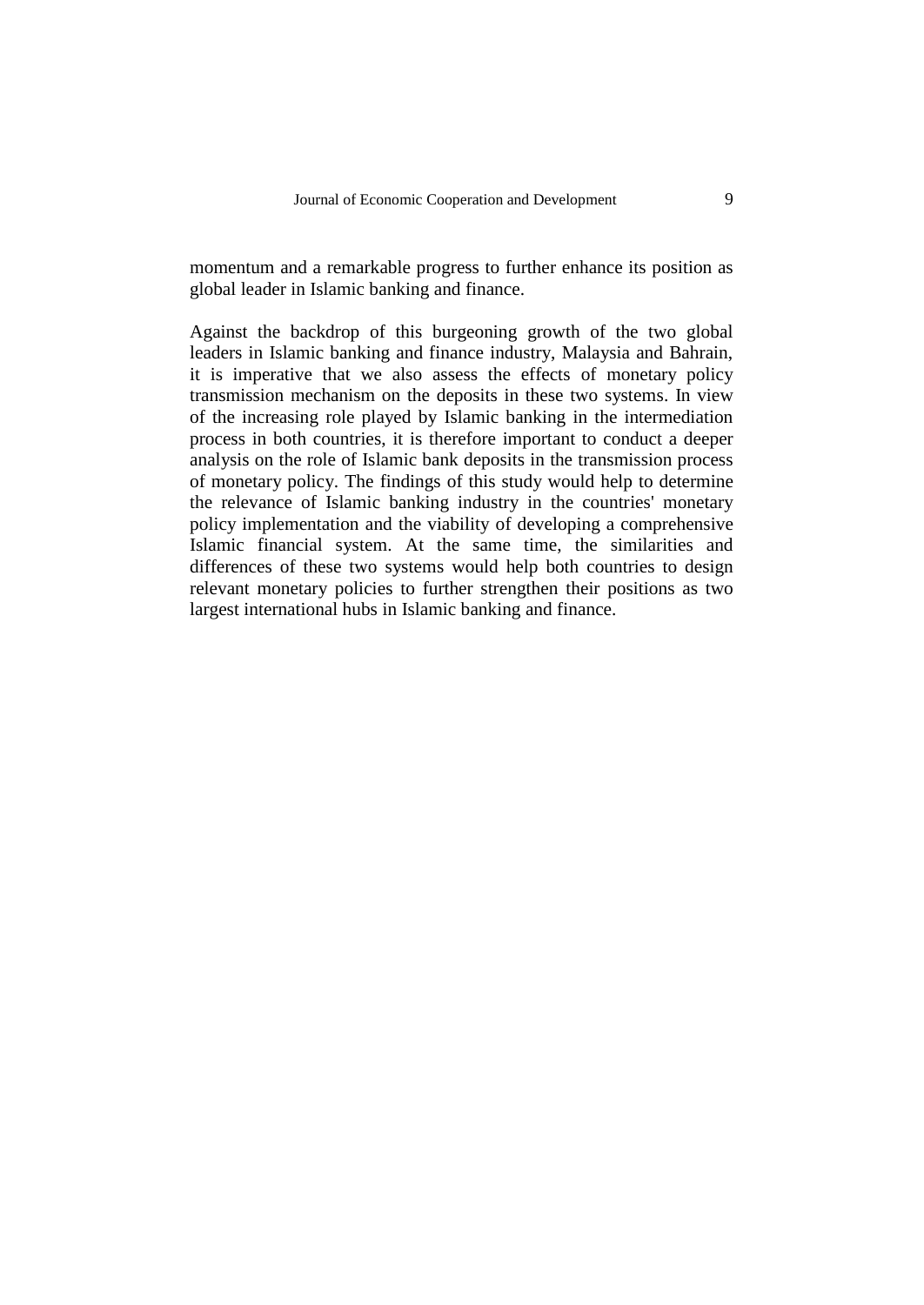momentum and a remarkable progress to further enhance its position as global leader in Islamic banking and finance.

Against the backdrop of this burgeoning growth of the two global leaders in Islamic banking and finance industry, Malaysia and Bahrain, it is imperative that we also assess the effects of monetary policy transmission mechanism on the deposits in these two systems. In view of the increasing role played by Islamic banking in the intermediation process in both countries, it is therefore important to conduct a deeper analysis on the role of Islamic bank deposits in the transmission process of monetary policy. The findings of this study would help to determine the relevance of Islamic banking industry in the countries' monetary policy implementation and the viability of developing a comprehensive Islamic financial system. At the same time, the similarities and differences of these two systems would help both countries to design relevant monetary policies to further strengthen their positions as two largest international hubs in Islamic banking and finance.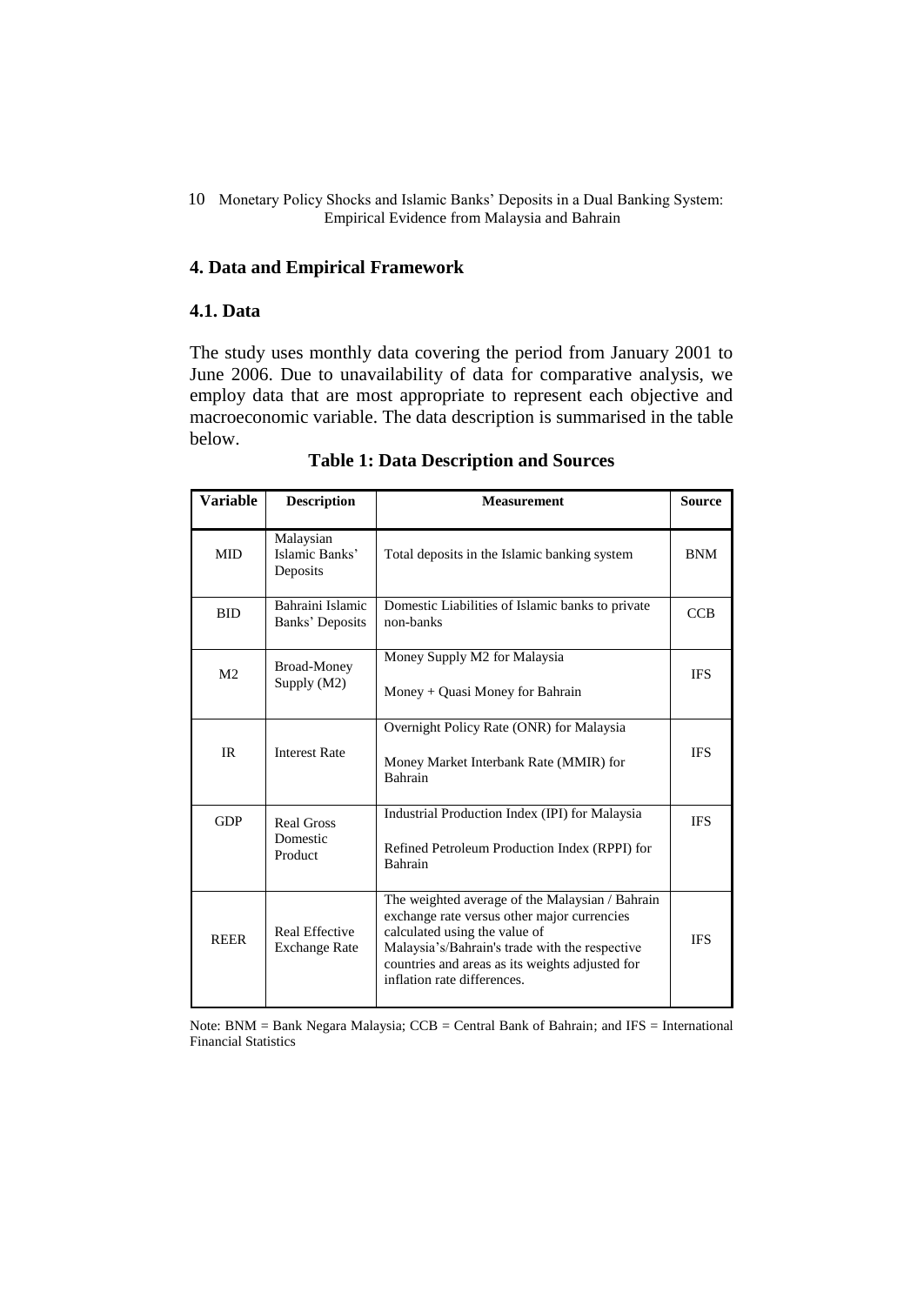## **4. Data and Empirical Framework**

### **4.1. Data**

The study uses monthly data covering the period from January 2001 to June 2006. Due to unavailability of data for comparative analysis, we employ data that are most appropriate to represent each objective and macroeconomic variable. The data description is summarised in the table below.

| <b>Variable</b> | <b>Description</b>                            | <b>Measurement</b>                                                                                                                                                                                                                                                  | <b>Source</b> |
|-----------------|-----------------------------------------------|---------------------------------------------------------------------------------------------------------------------------------------------------------------------------------------------------------------------------------------------------------------------|---------------|
| <b>MID</b>      | Malaysian<br>Islamic Banks'<br>Deposits       | Total deposits in the Islamic banking system                                                                                                                                                                                                                        | <b>BNM</b>    |
| <b>BID</b>      | Bahraini Islamic<br>Banks' Deposits           | Domestic Liabilities of Islamic banks to private<br>non-banks                                                                                                                                                                                                       | CCB           |
| M <sub>2</sub>  | <b>Broad-Money</b><br>Supply (M2)             | Money Supply M2 for Malaysia<br>Money + Quasi Money for Bahrain                                                                                                                                                                                                     | <b>IFS</b>    |
| IR              | <b>Interest Rate</b>                          | Overnight Policy Rate (ONR) for Malaysia<br>Money Market Interbank Rate (MMIR) for<br>Bahrain                                                                                                                                                                       | <b>IFS</b>    |
| <b>GDP</b>      | <b>Real Gross</b><br>Domestic<br>Product      | Industrial Production Index (IPI) for Malaysia<br>Refined Petroleum Production Index (RPPI) for<br>Bahrain                                                                                                                                                          | <b>IFS</b>    |
| <b>REER</b>     | <b>Real Effective</b><br><b>Exchange Rate</b> | The weighted average of the Malaysian / Bahrain<br>exchange rate versus other major currencies<br>calculated using the value of<br>Malaysia's/Bahrain's trade with the respective<br>countries and areas as its weights adjusted for<br>inflation rate differences. | <b>IFS</b>    |

**Table 1: Data Description and Sources**

Note: BNM = Bank Negara Malaysia; CCB = Central Bank of Bahrain; and IFS = International Financial Statistics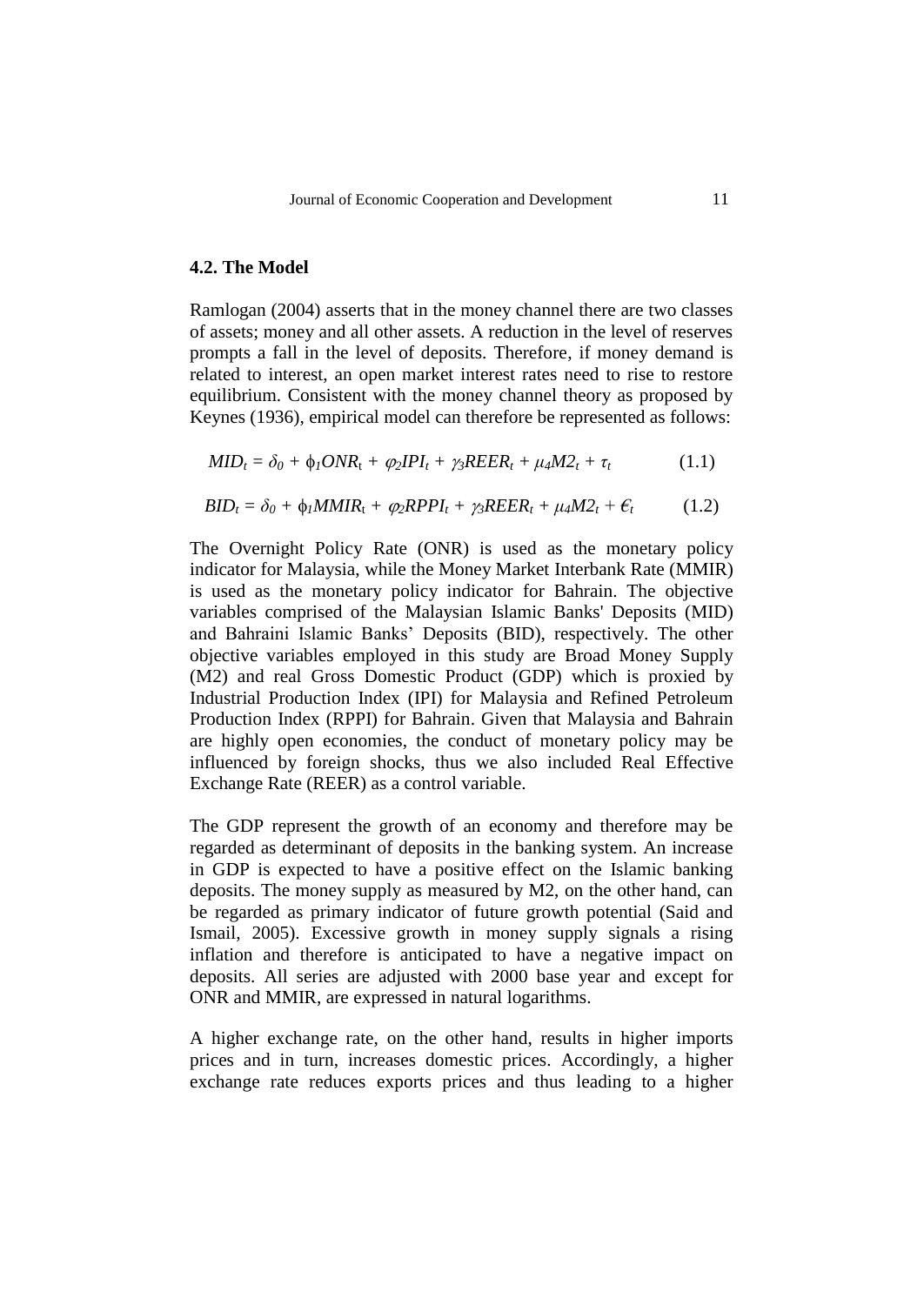## **4.2. The Model**

Ramlogan (2004) asserts that in the money channel there are two classes of assets; money and all other assets. A reduction in the level of reserves prompts a fall in the level of deposits. Therefore, if money demand is related to interest, an open market interest rates need to rise to restore equilibrium. Consistent with the money channel theory as proposed by Keynes (1936), empirical model can therefore be represented as follows:

$$
MID_t = \delta_0 + \phi_1 ONR_t + \varphi_2 IPI_t + \gamma_3 REER_t + \mu_4 M2_t + \tau_t \tag{1.1}
$$

$$
BID_t = \delta_0 + \phi_1 MMIR_t + \varphi_2 RPPI_t + \gamma_3 REER_t + \mu_4 M2_t + \epsilon_t \tag{1.2}
$$

The Overnight Policy Rate (ONR) is used as the monetary policy indicator for Malaysia, while the Money Market Interbank Rate (MMIR) is used as the monetary policy indicator for Bahrain. The objective variables comprised of the Malaysian Islamic Banks' Deposits (MID) and Bahraini Islamic Banks' Deposits (BID), respectively. The other objective variables employed in this study are Broad Money Supply (M2) and real Gross Domestic Product (GDP) which is proxied by Industrial Production Index (IPI) for Malaysia and Refined Petroleum Production Index (RPPI) for Bahrain. Given that Malaysia and Bahrain are highly open economies, the conduct of monetary policy may be influenced by foreign shocks, thus we also included Real Effective Exchange Rate (REER) as a control variable.

The GDP represent the growth of an economy and therefore may be regarded as determinant of deposits in the banking system. An increase in GDP is expected to have a positive effect on the Islamic banking deposits. The money supply as measured by M2, on the other hand, can be regarded as primary indicator of future growth potential (Said and Ismail, 2005). Excessive growth in money supply signals a rising inflation and therefore is anticipated to have a negative impact on deposits. All series are adjusted with 2000 base year and except for ONR and MMIR, are expressed in natural logarithms.

A higher exchange rate, on the other hand, results in higher imports prices and in turn, increases domestic prices. Accordingly, a higher exchange rate reduces exports prices and thus leading to a higher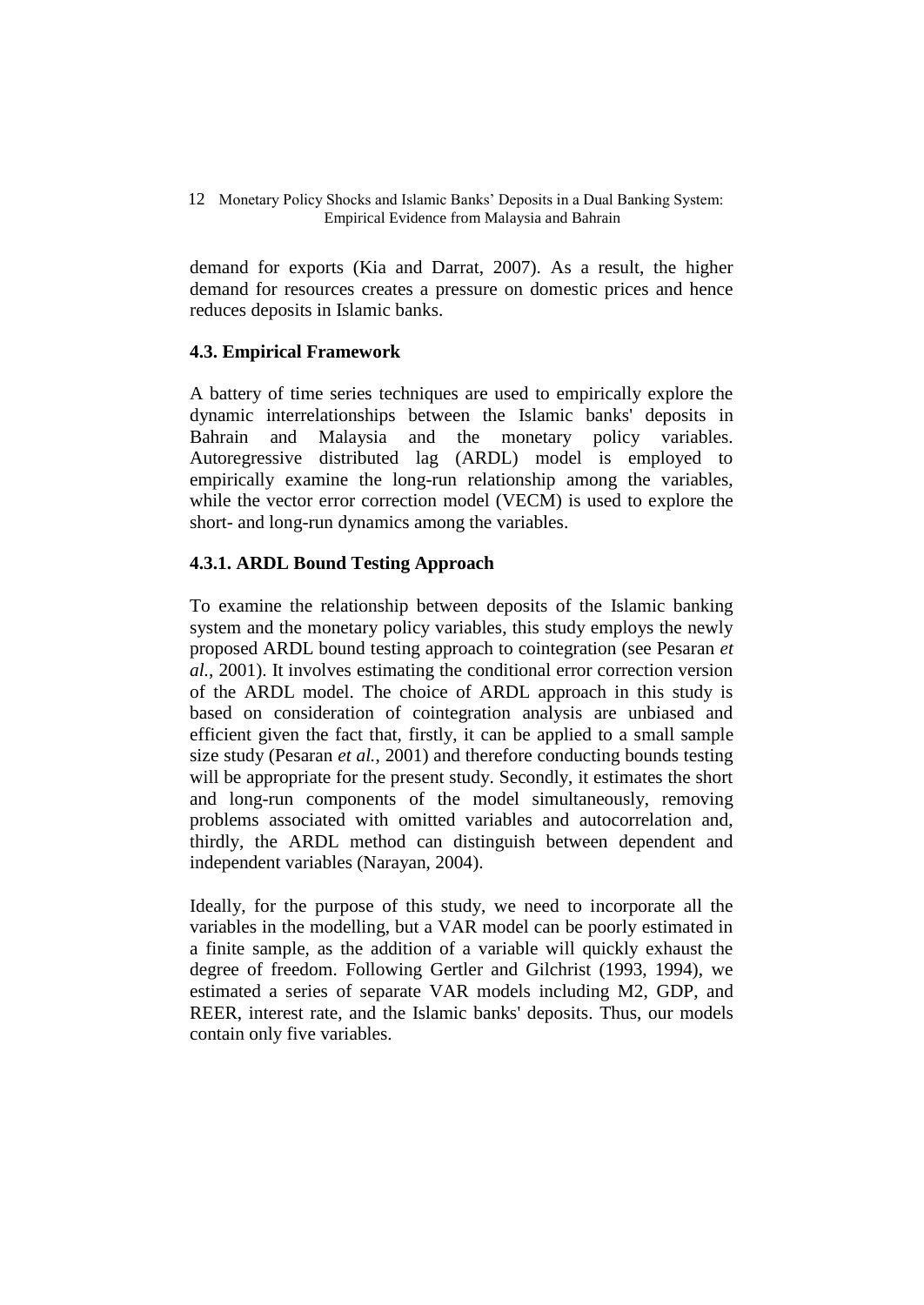demand for exports (Kia and Darrat, 2007). As a result, the higher demand for resources creates a pressure on domestic prices and hence reduces deposits in Islamic banks.

# **4.3. Empirical Framework**

A battery of time series techniques are used to empirically explore the dynamic interrelationships between the Islamic banks' deposits in Bahrain and Malaysia and the monetary policy variables. Autoregressive distributed lag (ARDL) model is employed to empirically examine the long-run relationship among the variables, while the vector error correction model (VECM) is used to explore the short- and long-run dynamics among the variables.

# **4.3.1. ARDL Bound Testing Approach**

To examine the relationship between deposits of the Islamic banking system and the monetary policy variables, this study employs the newly proposed ARDL bound testing approach to cointegration (see Pesaran *et al.*, 2001). It involves estimating the conditional error correction version of the ARDL model. The choice of ARDL approach in this study is based on consideration of cointegration analysis are unbiased and efficient given the fact that, firstly, it can be applied to a small sample size study (Pesaran *et al.*, 2001) and therefore conducting bounds testing will be appropriate for the present study. Secondly, it estimates the short and long-run components of the model simultaneously, removing problems associated with omitted variables and autocorrelation and, thirdly, the ARDL method can distinguish between dependent and independent variables (Narayan, 2004).

Ideally, for the purpose of this study, we need to incorporate all the variables in the modelling, but a VAR model can be poorly estimated in a finite sample, as the addition of a variable will quickly exhaust the degree of freedom. Following Gertler and Gilchrist (1993, 1994), we estimated a series of separate VAR models including M2, GDP, and REER, interest rate, and the Islamic banks' deposits. Thus, our models contain only five variables.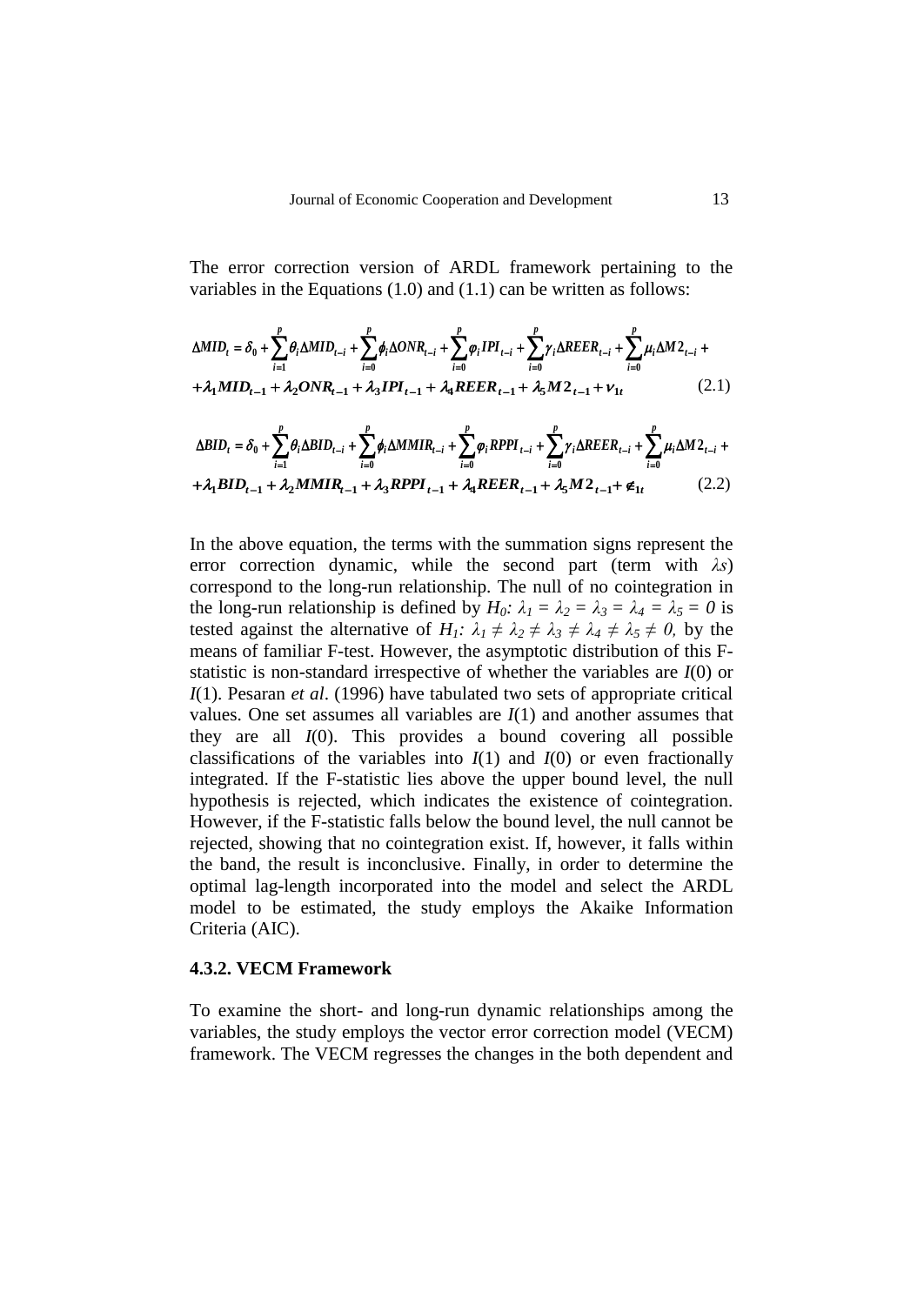The error correction version of ARDL framework pertaining to the variables in the Equations (1.0) and (1.1) can be written as follows:

$$
\Delta MID_{t} = \delta_{0} + \sum_{i=1}^{p} \theta_{i} \Delta MID_{t-i} + \sum_{i=0}^{p} \phi_{i} \Delta ONR_{t-i} + \sum_{i=0}^{p} \phi_{i} IPI_{t-i} + \sum_{i=0}^{p} \gamma_{i} \Delta REER_{t-i} + \sum_{i=0}^{p} \mu_{i} \Delta M 2_{t-i} + \lambda_{1} MID_{t-1} + \lambda_{2} ONR_{t-1} + \lambda_{3} IPI_{t-1} + \lambda_{4} REER_{t-1} + \lambda_{5} M 2_{t-1} + \nu_{1t}
$$
\n(2.1)

$$
\Delta BID_{t} = \delta_{0} + \sum_{i=1}^{p} \theta_{i} \Delta BID_{t-i} + \sum_{i=0}^{p} \phi_{i} \Delta M MIR_{t-i} + \sum_{i=0}^{p} \varphi_{i} RPPI_{t-i} + \sum_{i=0}^{p} \gamma_{i} \Delta REER_{t-i} + \sum_{i=0}^{p} \mu_{i} \Delta M 2_{t-i} + \lambda_{4} BID_{t-1} + \lambda_{2} M MIR_{t-1} + \lambda_{3} RPPI_{t-1} + \lambda_{4} REER_{t-1} + \lambda_{5} M 2_{t-1} + \epsilon_{1t}
$$
\n(2.2)

In the above equation, the terms with the summation signs represent the error correction dynamic, while the second part (term with *λs*) correspond to the long-run relationship. The null of no cointegration in the long-run relationship is defined by  $H_0$ :  $\lambda_1 = \lambda_2 = \lambda_3 = \lambda_4 = \lambda_5 = 0$  is tested against the alternative of  $H_1$ :  $\lambda_1 \neq \lambda_2 \neq \lambda_3 \neq \lambda_4 \neq \lambda_5 \neq 0$ , by the means of familiar F-test. However, the asymptotic distribution of this Fstatistic is non-standard irrespective of whether the variables are *I*(0) or *I*(1). Pesaran *et al*. (1996) have tabulated two sets of appropriate critical values. One set assumes all variables are *I*(1) and another assumes that they are all *I*(0). This provides a bound covering all possible classifications of the variables into  $I(1)$  and  $I(0)$  or even fractionally integrated. If the F-statistic lies above the upper bound level, the null hypothesis is rejected, which indicates the existence of cointegration. However, if the F-statistic falls below the bound level, the null cannot be rejected, showing that no cointegration exist. If, however, it falls within the band, the result is inconclusive. Finally, in order to determine the optimal lag-length incorporated into the model and select the ARDL model to be estimated, the study employs the Akaike Information Criteria (AIC).

### **4.3.2. VECM Framework**

To examine the short- and long-run dynamic relationships among the variables, the study employs the vector error correction model (VECM) framework. The VECM regresses the changes in the both dependent and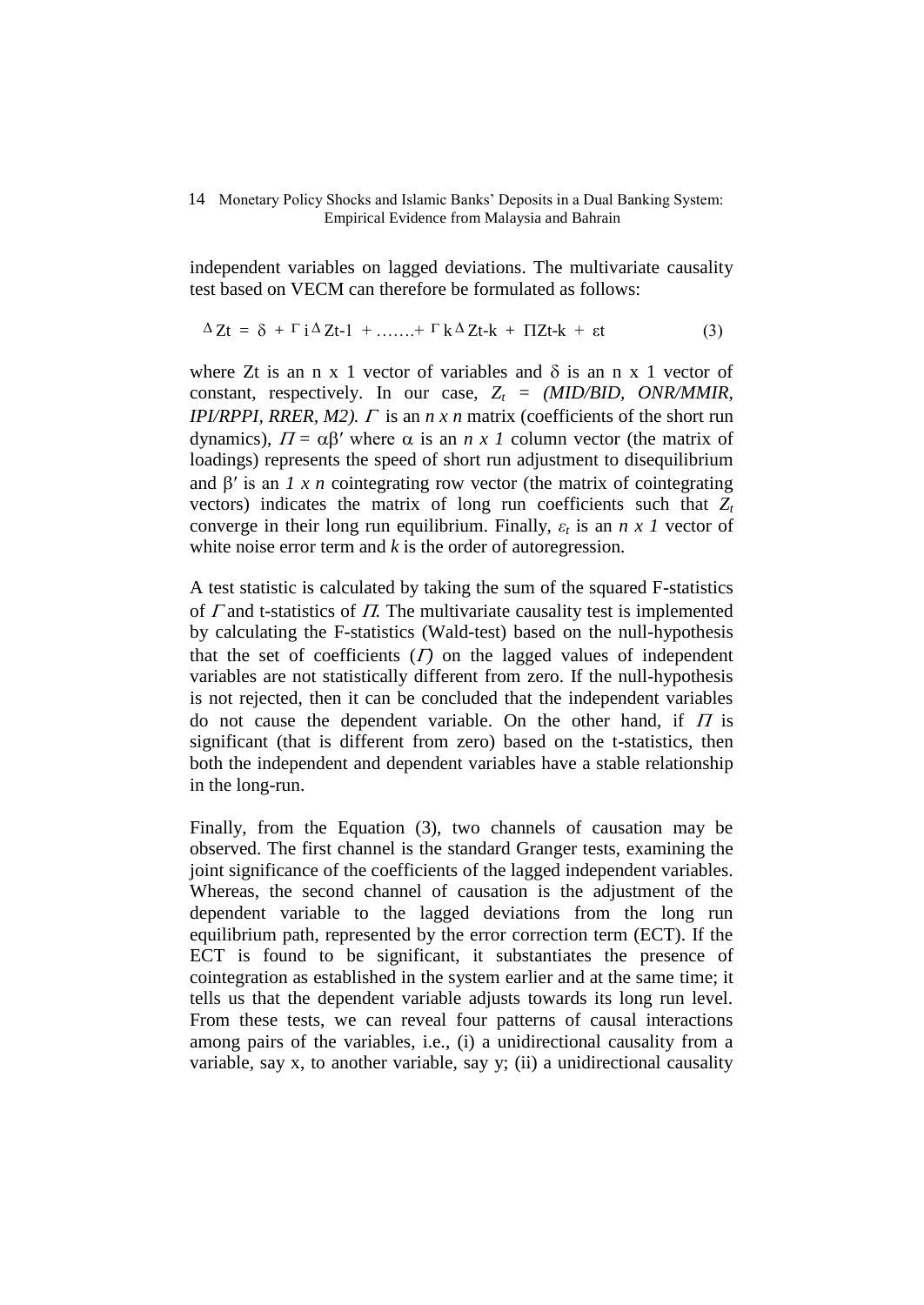independent variables on lagged deviations. The multivariate causality test based on VECM can therefore be formulated as follows:

$$
\Delta Zt = \delta + \Gamma i \Delta Zt - 1 + \dots + \Gamma k \Delta Zt - k + \Pi Zt - k + \varepsilon t \tag{3}
$$

where Zt is an n x 1 vector of variables and  $\delta$  is an n x 1 vector of constant, respectively. In our case,  $Z_t = (MID/BID, ONR/MMIR)$ , *IPI/RPPI, RRER, M2).*  $\Gamma$  is an  $n \times n$  matrix (coefficients of the short run dynamics),  $\Pi = \alpha \beta'$  where  $\alpha$  is an *n x 1* column vector (the matrix of loadings) represents the speed of short run adjustment to disequilibrium and  $\beta'$  is an *1 x n* cointegrating row vector (the matrix of cointegrating vectors) indicates the matrix of long run coefficients such that  $Z_t$ converge in their long run equilibrium. Finally,  $\varepsilon_t$  is an  $n \times 1$  vector of white noise error term and *k* is the order of autoregression.

A test statistic is calculated by taking the sum of the squared F-statistics of  $\Gamma$  and t-statistics of  $\Pi$ . The multivariate causality test is implemented by calculating the F-statistics (Wald-test) based on the null-hypothesis that the set of coefficients  $(I)$  on the lagged values of independent variables are not statistically different from zero. If the null-hypothesis is not rejected, then it can be concluded that the independent variables do not cause the dependent variable. On the other hand, if  $\Pi$  is significant (that is different from zero) based on the t-statistics, then both the independent and dependent variables have a stable relationship in the long-run.

Finally, from the Equation (3), two channels of causation may be observed. The first channel is the standard Granger tests, examining the joint significance of the coefficients of the lagged independent variables. Whereas, the second channel of causation is the adjustment of the dependent variable to the lagged deviations from the long run equilibrium path, represented by the error correction term (ECT). If the ECT is found to be significant, it substantiates the presence of cointegration as established in the system earlier and at the same time; it tells us that the dependent variable adjusts towards its long run level. From these tests, we can reveal four patterns of causal interactions among pairs of the variables, i.e., (i) a unidirectional causality from a variable, say x, to another variable, say y; (ii) a unidirectional causality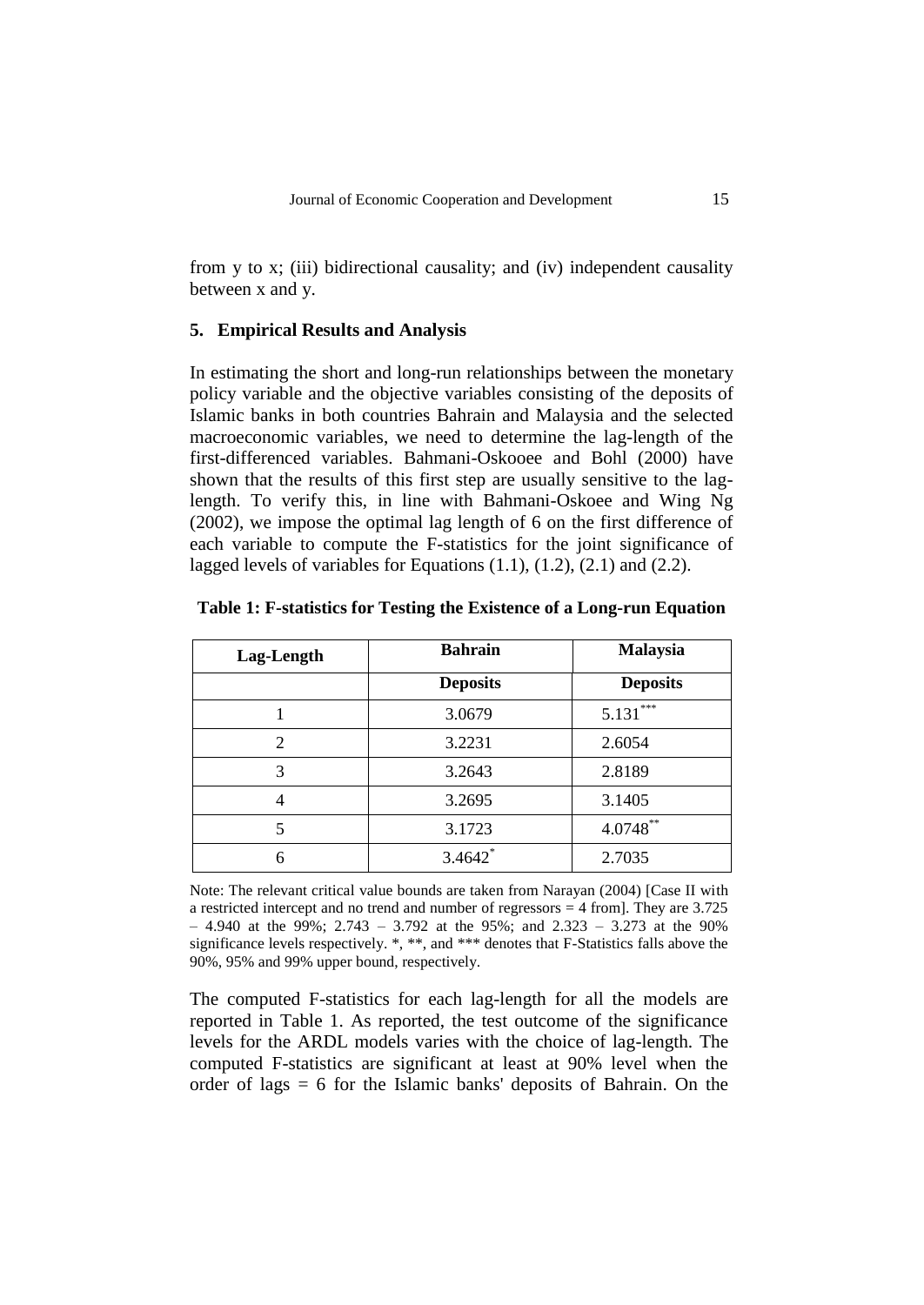from y to x; (iii) bidirectional causality; and (iv) independent causality between x and y.

### **5. Empirical Results and Analysis**

In estimating the short and long-run relationships between the monetary policy variable and the objective variables consisting of the deposits of Islamic banks in both countries Bahrain and Malaysia and the selected macroeconomic variables, we need to determine the lag-length of the first-differenced variables. Bahmani-Oskooee and Bohl (2000) have shown that the results of this first step are usually sensitive to the laglength. To verify this, in line with Bahmani-Oskoee and Wing Ng (2002), we impose the optimal lag length of 6 on the first difference of each variable to compute the F-statistics for the joint significance of lagged levels of variables for Equations (1.1), (1.2), (2.1) and (2.2).

| Lag-Length | <b>Bahrain</b>  | <b>Malaysia</b> |  |
|------------|-----------------|-----------------|--|
|            | <b>Deposits</b> | <b>Deposits</b> |  |
|            | 3.0679          | ***<br>5.131    |  |
| 2          | 3.2231          | 2.6054          |  |
| 3          | 3.2643          | 2.8189          |  |
| 4          | 3.2695          | 3.1405          |  |
| 5          | 3.1723          | $4.0748***$     |  |
| 6          | $3.4642$ *      | 2.7035          |  |

|  | Table 1: F-statistics for Testing the Existence of a Long-run Equation |  |
|--|------------------------------------------------------------------------|--|
|  |                                                                        |  |

Note: The relevant critical value bounds are taken from Narayan (2004) [Case II with a restricted intercept and no trend and number of regressors = 4 from]. They are 3.725 – 4.940 at the 99%; 2.743 – 3.792 at the 95%; and 2.323 – 3.273 at the 90% significance levels respectively. \*, \*\*, and \*\*\* denotes that F-Statistics falls above the 90%, 95% and 99% upper bound, respectively.

The computed F-statistics for each lag-length for all the models are reported in Table 1. As reported, the test outcome of the significance levels for the ARDL models varies with the choice of lag-length. The computed F-statistics are significant at least at 90% level when the order of lags = 6 for the Islamic banks' deposits of Bahrain. On the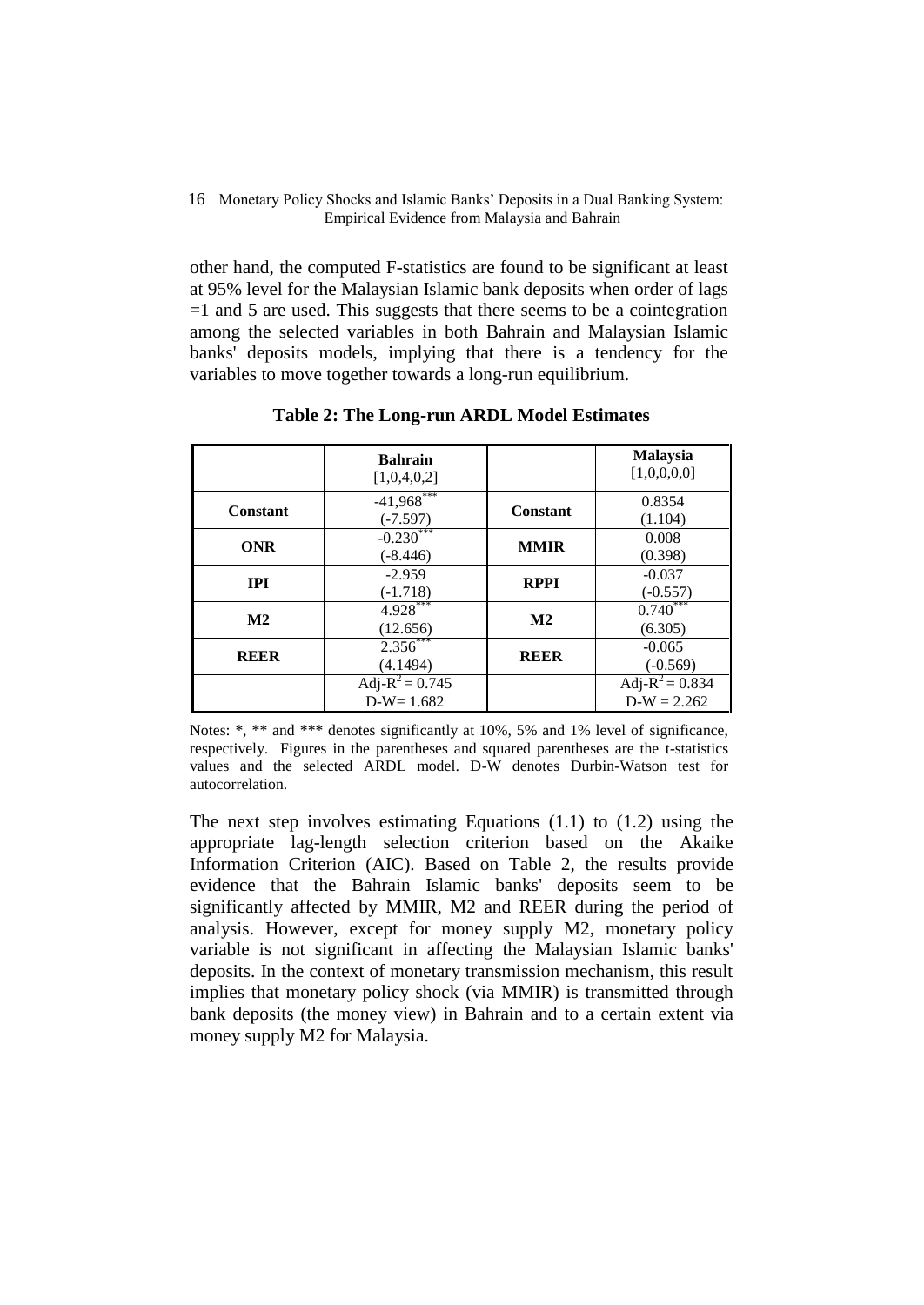other hand, the computed F-statistics are found to be significant at least at 95% level for the Malaysian Islamic bank deposits when order of lags  $=1$  and 5 are used. This suggests that there seems to be a cointegration among the selected variables in both Bahrain and Malaysian Islamic banks' deposits models, implying that there is a tendency for the variables to move together towards a long-run equilibrium.

|               | <b>Bahrain</b><br>[1,0,4,0,2]     |               | <b>Malaysia</b><br>[1,0,0,0,0]      |
|---------------|-----------------------------------|---------------|-------------------------------------|
| Constant      | $-41,968***$<br>$(-7.597)$        | Constant      | 0.8354<br>(1.104)                   |
| <b>ONR</b>    | $-0.230$<br>$(-8.446)$            | <b>MMIR</b>   | 0.008<br>(0.398)                    |
| <b>IPI</b>    | $-2.959$<br>$(-1.718)$            | <b>RPPI</b>   | $-0.037$<br>$(-0.557)$              |
| $\mathbf{M2}$ | $4.928***$<br>(12.656)            | $\mathbf{M2}$ | 0.740<br>(6.305)                    |
| <b>REER</b>   | $2.356***$<br>(4.1494)            | <b>REER</b>   | $-0.065$<br>$(-0.569)$              |
|               | Adj- $R^2 = 0.745$<br>$D-W=1.682$ |               | Adj- $R^2 = 0.834$<br>$D-W = 2.262$ |

**Table 2: The Long-run ARDL Model Estimates**

Notes: \*, \*\* and \*\*\* denotes significantly at 10%, 5% and 1% level of significance, respectively. Figures in the parentheses and squared parentheses are the t-statistics values and the selected ARDL model. D-W denotes Durbin-Watson test for autocorrelation.

The next step involves estimating Equations (1.1) to (1.2) using the appropriate lag-length selection criterion based on the Akaike Information Criterion (AIC). Based on Table 2, the results provide evidence that the Bahrain Islamic banks' deposits seem to be significantly affected by MMIR, M2 and REER during the period of analysis. However, except for money supply M2, monetary policy variable is not significant in affecting the Malaysian Islamic banks' deposits. In the context of monetary transmission mechanism, this result implies that monetary policy shock (via MMIR) is transmitted through bank deposits (the money view) in Bahrain and to a certain extent via money supply M2 for Malaysia.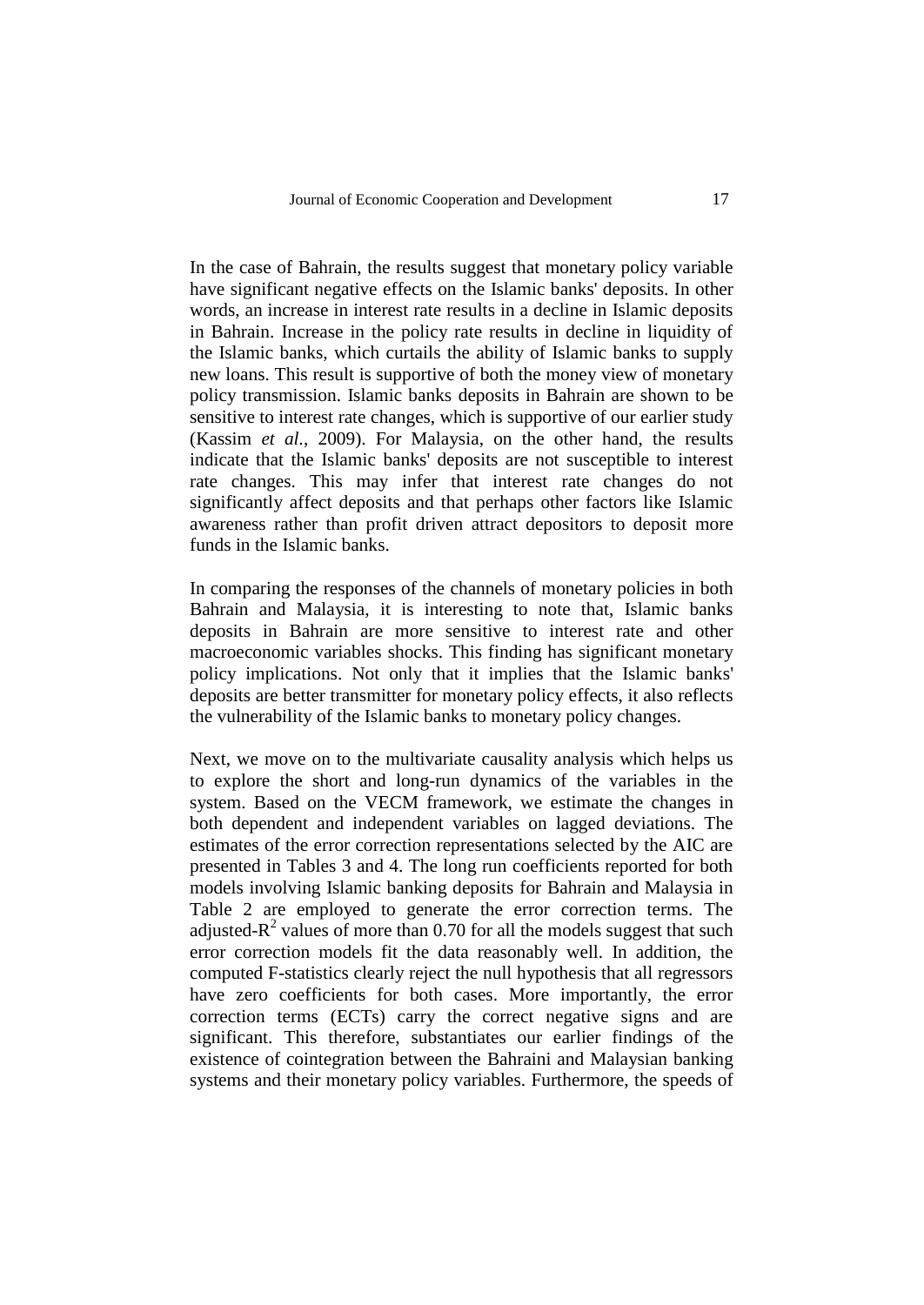In the case of Bahrain, the results suggest that monetary policy variable have significant negative effects on the Islamic banks' deposits. In other words, an increase in interest rate results in a decline in Islamic deposits in Bahrain. Increase in the policy rate results in decline in liquidity of the Islamic banks, which curtails the ability of Islamic banks to supply new loans. This result is supportive of both the money view of monetary policy transmission. Islamic banks deposits in Bahrain are shown to be sensitive to interest rate changes, which is supportive of our earlier study (Kassim *et al.*, 2009). For Malaysia, on the other hand, the results indicate that the Islamic banks' deposits are not susceptible to interest rate changes. This may infer that interest rate changes do not significantly affect deposits and that perhaps other factors like Islamic awareness rather than profit driven attract depositors to deposit more funds in the Islamic banks.

In comparing the responses of the channels of monetary policies in both Bahrain and Malaysia, it is interesting to note that, Islamic banks deposits in Bahrain are more sensitive to interest rate and other macroeconomic variables shocks. This finding has significant monetary policy implications. Not only that it implies that the Islamic banks' deposits are better transmitter for monetary policy effects, it also reflects the vulnerability of the Islamic banks to monetary policy changes.

Next, we move on to the multivariate causality analysis which helps us to explore the short and long-run dynamics of the variables in the system. Based on the VECM framework, we estimate the changes in both dependent and independent variables on lagged deviations. The estimates of the error correction representations selected by the AIC are presented in Tables 3 and 4. The long run coefficients reported for both models involving Islamic banking deposits for Bahrain and Malaysia in Table 2 are employed to generate the error correction terms. The adjusted- $R^2$  values of more than 0.70 for all the models suggest that such error correction models fit the data reasonably well. In addition, the computed F-statistics clearly reject the null hypothesis that all regressors have zero coefficients for both cases. More importantly, the error correction terms (ECTs) carry the correct negative signs and are significant. This therefore, substantiates our earlier findings of the existence of cointegration between the Bahraini and Malaysian banking systems and their monetary policy variables. Furthermore, the speeds of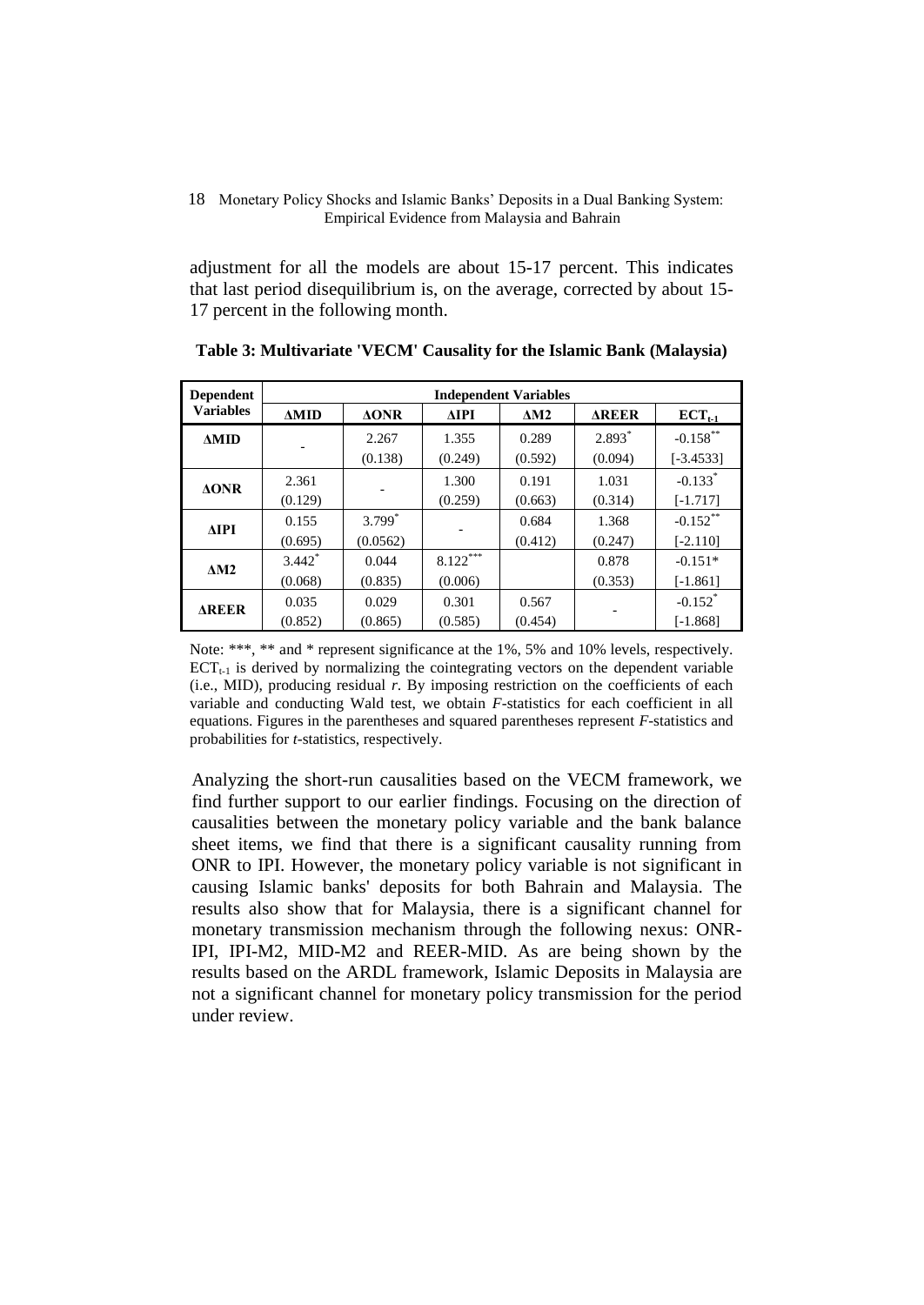adjustment for all the models are about 15-17 percent. This indicates that last period disequilibrium is, on the average, corrected by about 15- 17 percent in the following month.

| <b>Dependent</b> | <b>Independent Variables</b> |                 |             |             |              |                       |  |
|------------------|------------------------------|-----------------|-------------|-------------|--------------|-----------------------|--|
| <b>Variables</b> | $\triangle MID$              | $\triangle$ ONR | <b>AIPI</b> | $\Delta M2$ | <b>AREER</b> | $ECT_{t-1}$           |  |
| $\triangle MID$  |                              | 2.267           | 1.355       | 0.289       | $2.893*$     | $-0.158$ **           |  |
|                  |                              | (0.138)         | (0.249)     | (0.592)     | (0.094)      | $[-3.4533]$           |  |
| $\triangle$ ONR  | 2.361                        |                 | 1.300       | 0.191       | 1.031        | $-0.133*$             |  |
|                  | (0.129)                      |                 | (0.259)     | (0.663)     | (0.314)      | $[-1.717]$            |  |
| ΔIPI             | 0.155                        | $3.799*$        |             | 0.684       | 1.368        | $-0.152$ **           |  |
|                  | (0.695)                      | (0.0562)        |             | (0.412)     | (0.247)      | $[-2.110]$            |  |
| $\Delta M2$      | $3.442$ <sup>*</sup>         | 0.044           | $8.122***$  |             | 0.878        | $-0.151*$             |  |
|                  | (0.068)                      | (0.835)         | (0.006)     |             | (0.353)      | $[-1.861]$            |  |
| <b>AREER</b>     | 0.035                        | 0.029           | 0.301       | 0.567       |              | $-0.152$ <sup>*</sup> |  |
|                  | (0.852)                      | (0.865)         | (0.585)     | (0.454)     |              | $[-1.868]$            |  |

**Table 3: Multivariate 'VECM' Causality for the Islamic Bank (Malaysia)**

Note: \*\*\*, \*\* and \* represent significance at the 1%, 5% and 10% levels, respectively.  $ECT_{t-1}$  is derived by normalizing the cointegrating vectors on the dependent variable (i.e., MID), producing residual *r*. By imposing restriction on the coefficients of each variable and conducting Wald test, we obtain *F*-statistics for each coefficient in all equations. Figures in the parentheses and squared parentheses represent *F*-statistics and probabilities for *t*-statistics, respectively.

Analyzing the short-run causalities based on the VECM framework, we find further support to our earlier findings. Focusing on the direction of causalities between the monetary policy variable and the bank balance sheet items, we find that there is a significant causality running from ONR to IPI. However, the monetary policy variable is not significant in causing Islamic banks' deposits for both Bahrain and Malaysia. The results also show that for Malaysia, there is a significant channel for monetary transmission mechanism through the following nexus: ONR-IPI, IPI-M2, MID-M2 and REER-MID. As are being shown by the results based on the ARDL framework, Islamic Deposits in Malaysia are not a significant channel for monetary policy transmission for the period under review.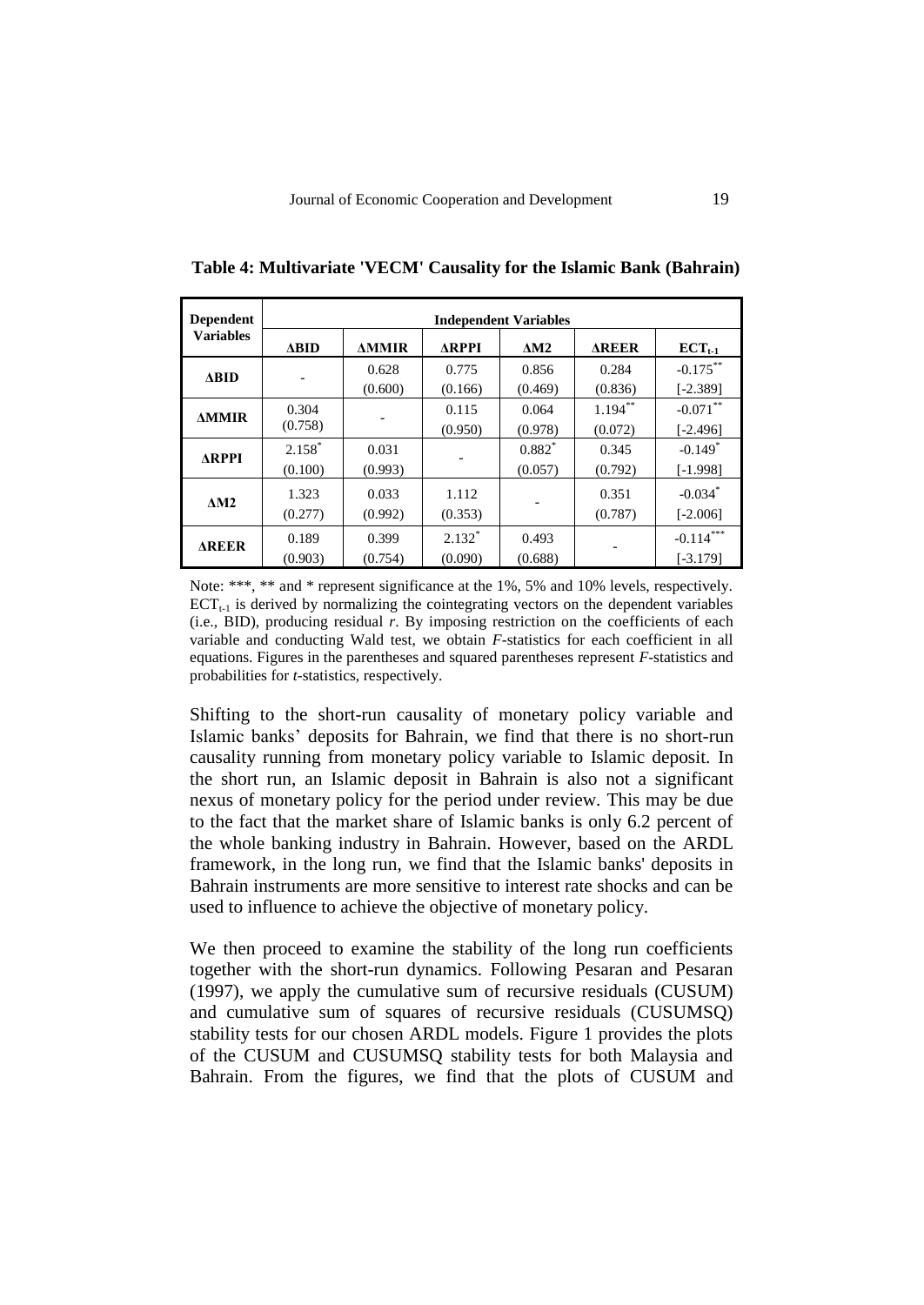| <b>Dependent</b> | <b>Independent Variables</b> |              |              |             |              |             |  |
|------------------|------------------------------|--------------|--------------|-------------|--------------|-------------|--|
| <b>Variables</b> | $\triangle BID$              | <b>AMMIR</b> | <b>ARPPI</b> | $\Delta M2$ | <b>AREER</b> | $ECT_{t-1}$ |  |
| $\triangle BID$  |                              | 0.628        | 0.775        | 0.856       | 0.284        | $-0.175***$ |  |
|                  |                              | (0.600)      | (0.166)      | (0.469)     | (0.836)      | $[-2.389]$  |  |
| <b>AMMIR</b>     | 0.304                        |              | 0.115        | 0.064       | $1.194***$   | $-0.071$ ** |  |
|                  | (0.758)                      |              | (0.950)      | (0.978)     | (0.072)      | $[-2.496]$  |  |
| <b>ARPPI</b>     | $2.158*$                     | 0.031        |              | $0.882*$    | 0.345        | $-0.149*$   |  |
|                  | (0.100)                      | (0.993)      |              | (0.057)     | (0.792)      | $[-1.998]$  |  |
| $\triangle M2$   | 1.323                        | 0.033        | 1.112        |             | 0.351        | $-0.034*$   |  |
|                  | (0.277)                      | (0.992)      | (0.353)      |             | (0.787)      | $[-2.006]$  |  |
| <b>AREER</b>     | 0.189                        | 0.399        | $2.132*$     | 0.493       |              | $-0.114***$ |  |
|                  | (0.903)                      | (0.754)      | (0.090)      | (0.688)     |              | $[-3.179]$  |  |

**Table 4: Multivariate 'VECM' Causality for the Islamic Bank (Bahrain)**

Note: \*\*\*, \*\* and \* represent significance at the 1%, 5% and 10% levels, respectively.  $ECT_{t-1}$  is derived by normalizing the cointegrating vectors on the dependent variables (i.e., BID), producing residual *r*. By imposing restriction on the coefficients of each variable and conducting Wald test, we obtain *F*-statistics for each coefficient in all equations. Figures in the parentheses and squared parentheses represent *F*-statistics and probabilities for *t*-statistics, respectively.

Shifting to the short-run causality of monetary policy variable and Islamic banks' deposits for Bahrain, we find that there is no short-run causality running from monetary policy variable to Islamic deposit. In the short run, an Islamic deposit in Bahrain is also not a significant nexus of monetary policy for the period under review. This may be due to the fact that the market share of Islamic banks is only 6.2 percent of the whole banking industry in Bahrain. However, based on the ARDL framework, in the long run, we find that the Islamic banks' deposits in Bahrain instruments are more sensitive to interest rate shocks and can be used to influence to achieve the objective of monetary policy.

We then proceed to examine the stability of the long run coefficients together with the short-run dynamics. Following Pesaran and Pesaran (1997), we apply the cumulative sum of recursive residuals (CUSUM) and cumulative sum of squares of recursive residuals (CUSUMSQ) stability tests for our chosen ARDL models. Figure 1 provides the plots of the CUSUM and CUSUMSQ stability tests for both Malaysia and Bahrain. From the figures, we find that the plots of CUSUM and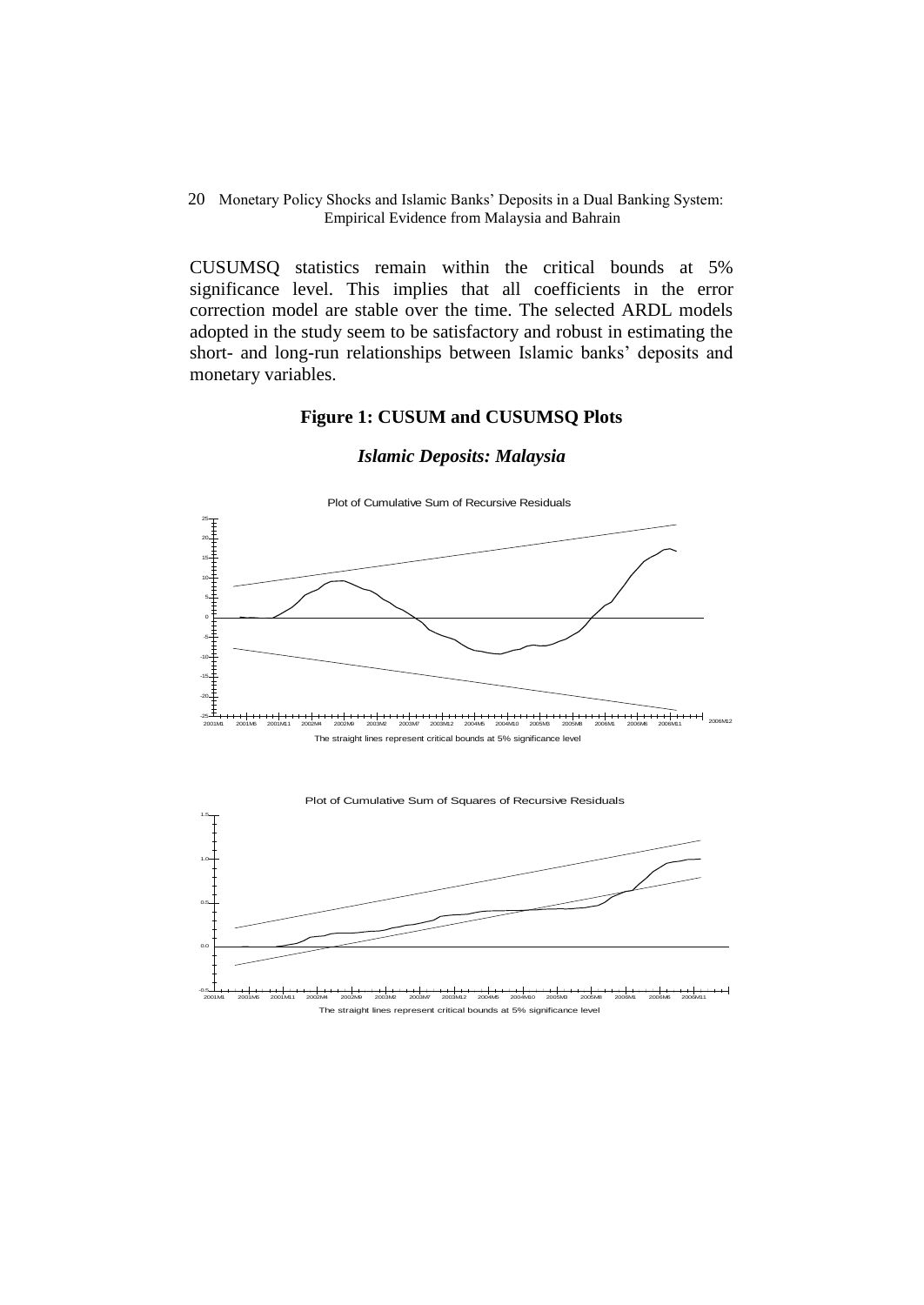CUSUMSQ statistics remain within the critical bounds at 5% significance level. This implies that all coefficients in the error correction model are stable over the time. The selected ARDL models adopted in the study seem to be satisfactory and robust in estimating the short- and long-run relationships between Islamic banks' deposits and monetary variables.

# **Figure 1: CUSUM and CUSUMSQ Plots**

### *Islamic Deposits: Malaysia*



 The straight lines represent critical bounds at 5% significance level -0.5 2001M1 2001M6 2001M11 2002M4 2002M9 2003M2 2003M7 2003M12 2004M5 2004M10 2005M3 2005M8 2006M1 2006M6 2006M11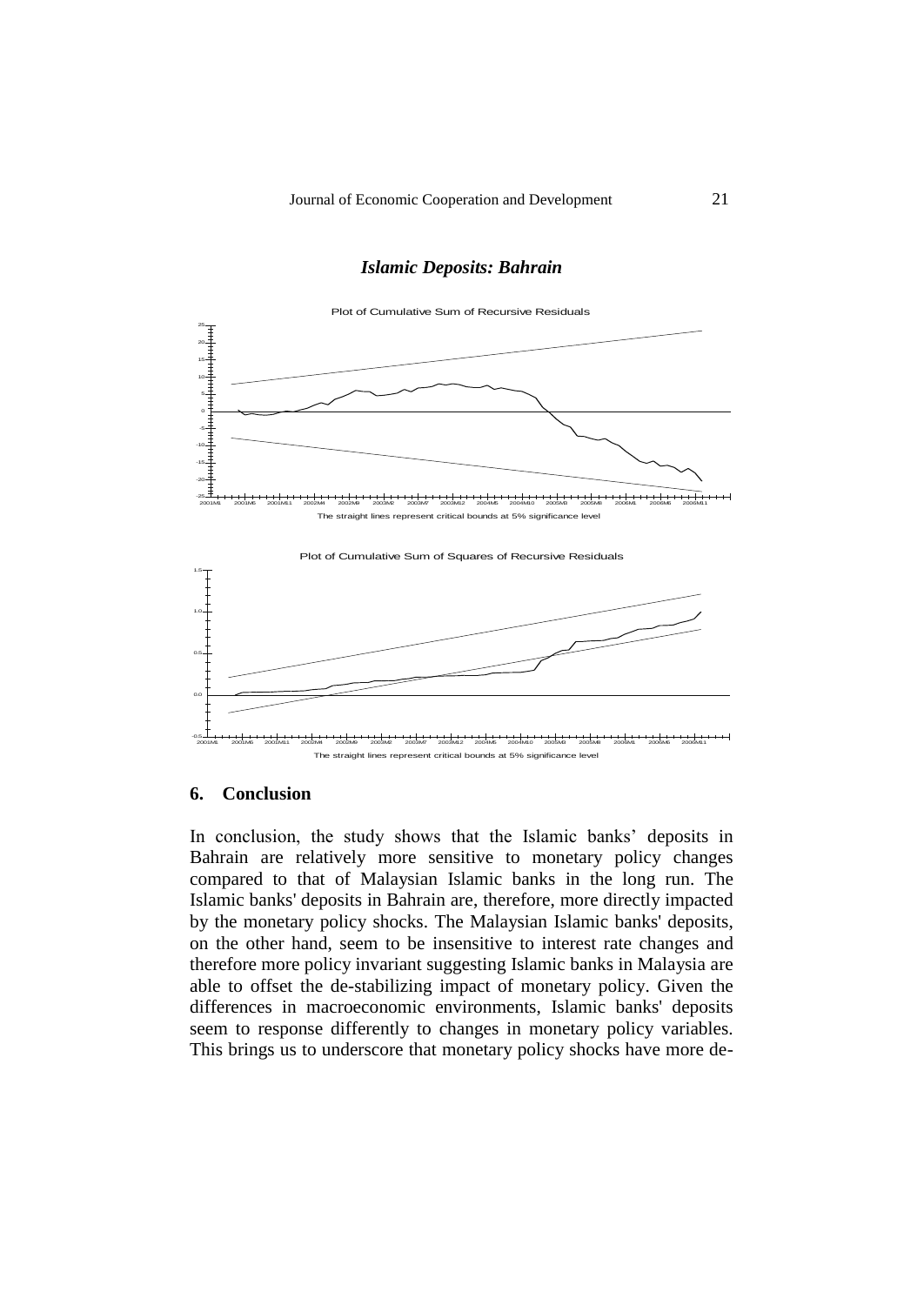## *Islamic Deposits: Bahrain*



## **6. Conclusion**

In conclusion, the study shows that the Islamic banks' deposits in Bahrain are relatively more sensitive to monetary policy changes compared to that of Malaysian Islamic banks in the long run. The Islamic banks' deposits in Bahrain are, therefore, more directly impacted by the monetary policy shocks. The Malaysian Islamic banks' deposits, on the other hand, seem to be insensitive to interest rate changes and therefore more policy invariant suggesting Islamic banks in Malaysia are able to offset the de-stabilizing impact of monetary policy. Given the differences in macroeconomic environments, Islamic banks' deposits seem to response differently to changes in monetary policy variables. This brings us to underscore that monetary policy shocks have more de-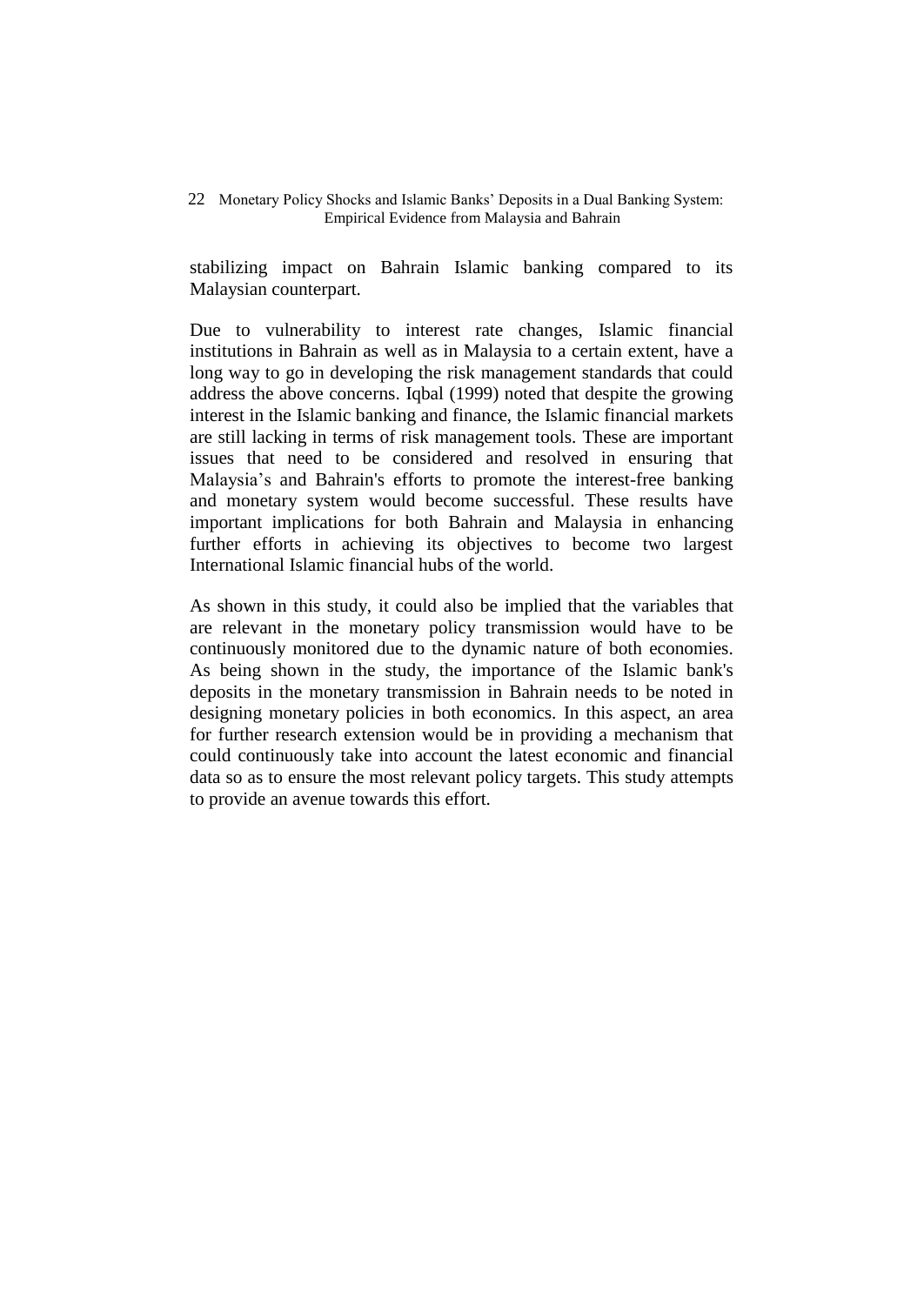stabilizing impact on Bahrain Islamic banking compared to its Malaysian counterpart.

Due to vulnerability to interest rate changes, Islamic financial institutions in Bahrain as well as in Malaysia to a certain extent, have a long way to go in developing the risk management standards that could address the above concerns. Iqbal (1999) noted that despite the growing interest in the Islamic banking and finance, the Islamic financial markets are still lacking in terms of risk management tools. These are important issues that need to be considered and resolved in ensuring that Malaysia's and Bahrain's efforts to promote the interest-free banking and monetary system would become successful. These results have important implications for both Bahrain and Malaysia in enhancing further efforts in achieving its objectives to become two largest International Islamic financial hubs of the world.

As shown in this study, it could also be implied that the variables that are relevant in the monetary policy transmission would have to be continuously monitored due to the dynamic nature of both economies. As being shown in the study, the importance of the Islamic bank's deposits in the monetary transmission in Bahrain needs to be noted in designing monetary policies in both economics. In this aspect, an area for further research extension would be in providing a mechanism that could continuously take into account the latest economic and financial data so as to ensure the most relevant policy targets. This study attempts to provide an avenue towards this effort.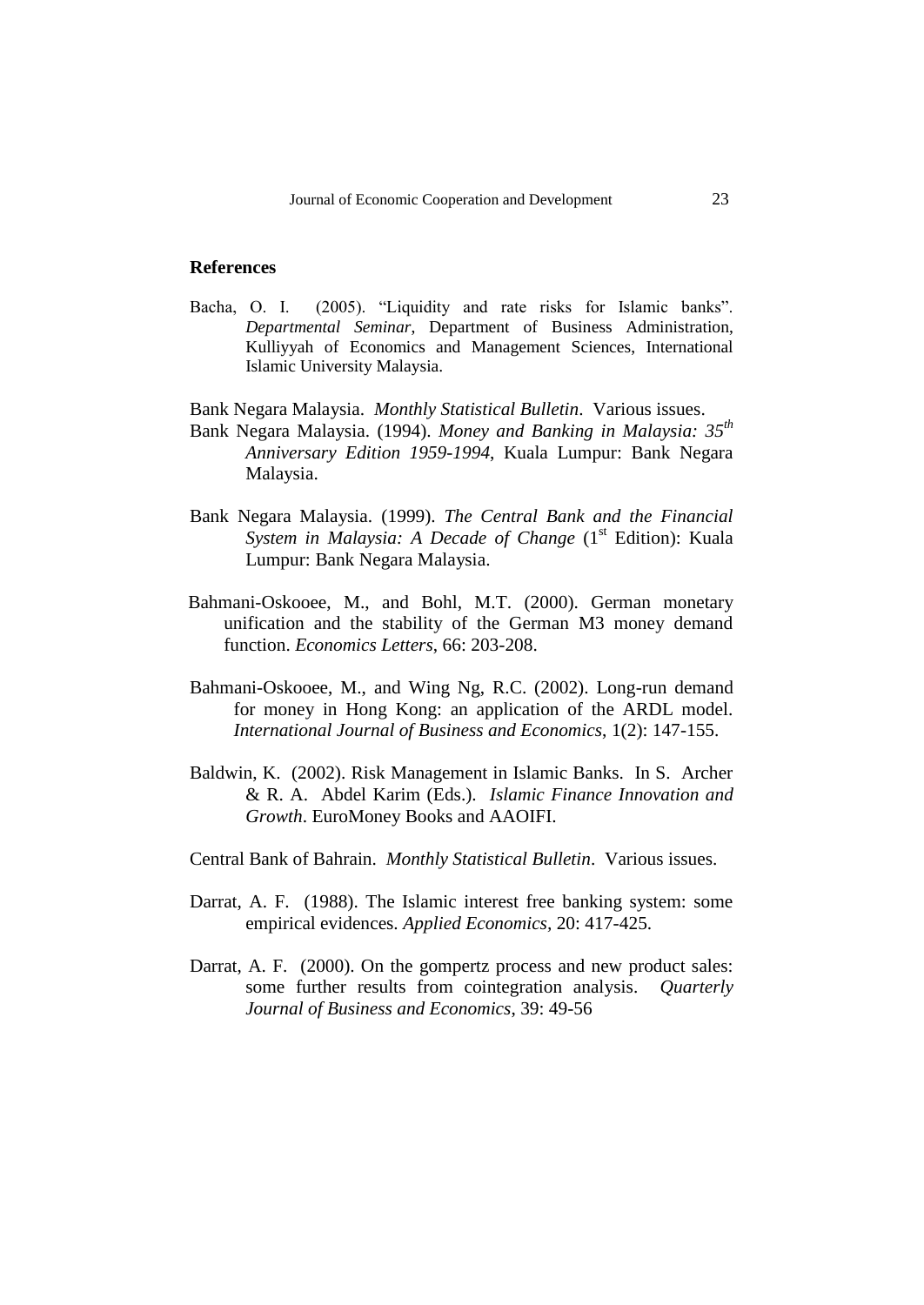## **References**

- Bacha, O. I. (2005). "Liquidity and rate risks for Islamic banks". *Departmental Seminar*, Department of Business Administration, Kulliyyah of Economics and Management Sciences, International Islamic University Malaysia.
- Bank Negara Malaysia. *Monthly Statistical Bulletin*. Various issues.
- Bank Negara Malaysia. (1994). *Money and Banking in Malaysia: 35th Anniversary Edition 1959-1994*, Kuala Lumpur: Bank Negara Malaysia.
- Bank Negara Malaysia. (1999). *The Central Bank and the Financial System in Malaysia: A Decade of Change* (1<sup>st</sup> Edition): Kuala Lumpur: Bank Negara Malaysia.
- Bahmani-Oskooee, M., and Bohl, M.T. (2000). German monetary unification and the stability of the German M3 money demand function. *Economics Letters*, 66: 203-208.
- Bahmani-Oskooee, M., and Wing Ng, R.C. (2002). Long-run demand for money in Hong Kong: an application of the ARDL model. *International Journal of Business and Economics*, 1(2): 147-155.
- Baldwin, K. (2002). Risk Management in Islamic Banks. In S. Archer & R. A. Abdel Karim (Eds.). *Islamic Finance Innovation and Growth*. EuroMoney Books and AAOIFI.
- Central Bank of Bahrain. *Monthly Statistical Bulletin*. Various issues.
- Darrat, A. F. (1988). The Islamic interest free banking system: some empirical evidences. *Applied Economics,* 20: 417-425.
- Darrat, A. F. (2000). On the gompertz process and new product sales: some further results from cointegration analysis. *Quarterly Journal of Business and Economics*, 39: 49-56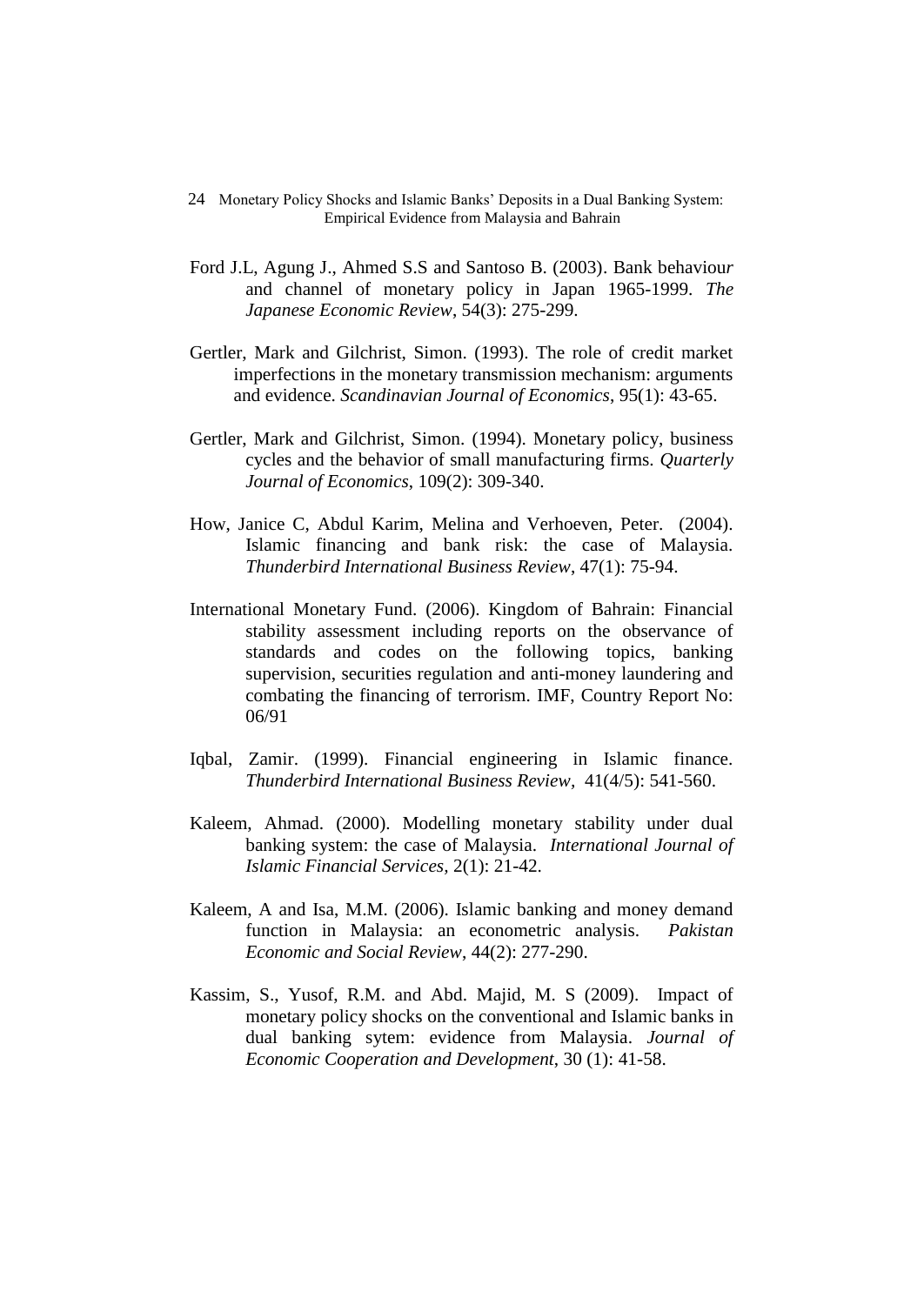- 24Monetary Policy Shocks and Islamic Banks' Deposits in a Dual Banking System: Empirical Evidence from Malaysia and Bahrain
- Ford J.L, Agung J., Ahmed S.S and Santoso B. (2003). Bank behaviou*r*  and channel of monetary policy in Japan 1965-1999. *The Japanese Economic Review*, 54(3): 275-299.
- Gertler, Mark and Gilchrist, Simon. (1993). The role of credit market imperfections in the monetary transmission mechanism: arguments and evidence. *Scandinavian Journal of Economics*, 95(1): 43-65.
- Gertler, Mark and Gilchrist, Simon. (1994). Monetary policy, business cycles and the behavior of small manufacturing firms. *Quarterly Journal of Economics*, 109(2): 309-340.
- How, Janice C, Abdul Karim, Melina and Verhoeven, Peter. (2004). Islamic financing and bank risk: the case of Malaysia. *Thunderbird International Business Review*, 47(1): 75-94.
- International Monetary Fund. (2006). Kingdom of Bahrain: Financial stability assessment including reports on the observance of standards and codes on the following topics, banking supervision, securities regulation and anti-money laundering and combating the financing of terrorism. IMF, Country Report No: 06/91
- Iqbal, Zamir. (1999). Financial engineering in Islamic finance. *Thunderbird International Business Review,* 41(4/5): 541-560.
- Kaleem, Ahmad. (2000). Modelling monetary stability under dual banking system: the case of Malaysia. *International Journal of Islamic Financial Services,* 2(1): 21-42.
- Kaleem, A and Isa, M.M. (2006). Islamic banking and money demand function in Malaysia: an econometric analysis. *Pakistan Economic and Social Review*, 44(2): 277-290.
- Kassim, S., Yusof, R.M. and Abd. Majid, M. S (2009). Impact of monetary policy shocks on the conventional and Islamic banks in dual banking sytem: evidence from Malaysia. *Journal of Economic Cooperation and Development*, 30 (1): 41-58.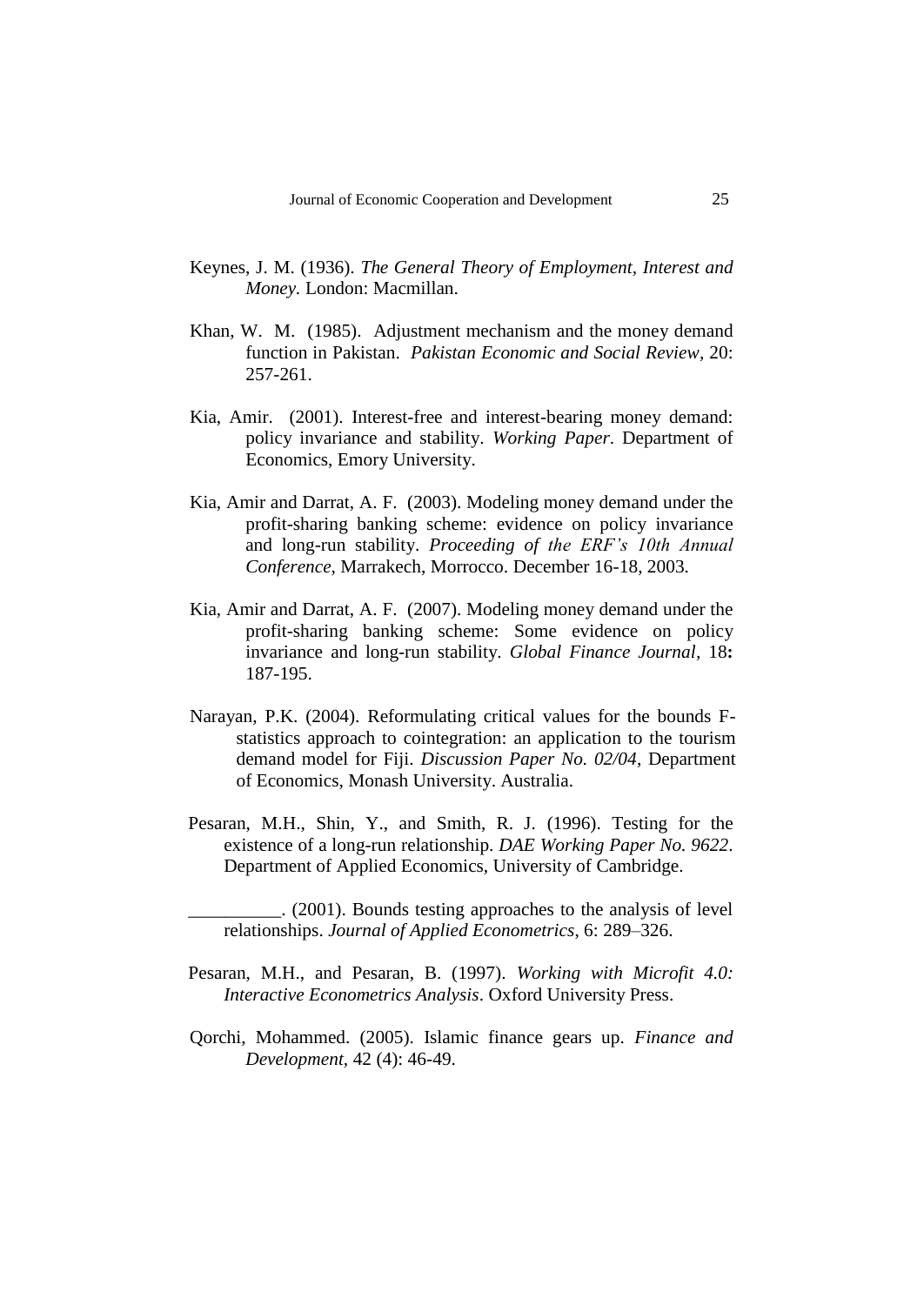- Keynes, J. M. (1936). *The General Theory of Employment, Interest and Money.* London: Macmillan.
- Khan, W. M. (1985). Adjustment mechanism and the money demand function in Pakistan. *Pakistan Economic and Social Review,* 20: 257-261.
- Kia, Amir. (2001). Interest-free and interest-bearing money demand: policy invariance and stability. *Working Paper*. Department of Economics, Emory University.
- Kia, Amir and Darrat, A. F. (2003). Modeling money demand under the profit-sharing banking scheme: evidence on policy invariance and long-run stability. *Proceeding of the ERF's 10th Annual Conference,* Marrakech, Morrocco. December 16-18, 2003.
- Kia, Amir and Darrat, A. F. (2007). Modeling money demand under the profit-sharing banking scheme: Some evidence on policy invariance and long-run stability. *Global Finance Journal,* 18**:**  187-195.
- Narayan, P.K. (2004). Reformulating critical values for the bounds Fstatistics approach to cointegration: an application to the tourism demand model for Fiji. *Discussion Paper No. 02/04*, Department of Economics, Monash University. Australia.
- Pesaran, M.H., Shin, Y., and Smith, R. J. (1996). Testing for the existence of a long-run relationship. *DAE Working Paper No. 9622*. Department of Applied Economics, University of Cambridge.

\_\_\_\_\_\_\_\_\_\_. (2001). Bounds testing approaches to the analysis of level relationships. *Journal of Applied Econometrics*, 6: 289–326.

- Pesaran, M.H., and Pesaran, B. (1997). *Working with Microfit 4.0: Interactive Econometrics Analysis*. Oxford University Press.
- Qorchi, Mohammed. (2005). Islamic finance gears up. *Finance and Development,* 42 (4): 46-49.